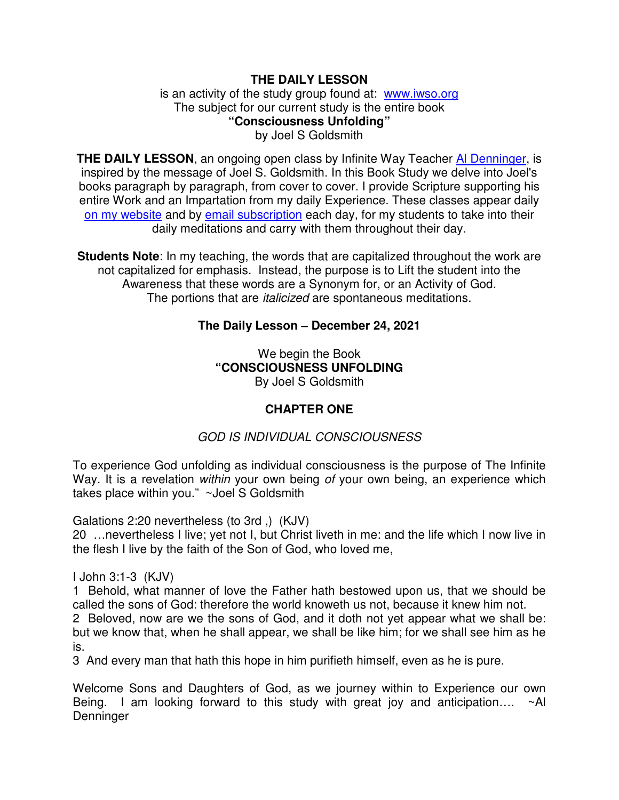# **THE DAILY LESSON**

is an activity of the study group found at: www.iwso.org The subject for our current study is the entire book **"Consciousness Unfolding"**  by Joel S Goldsmith

**THE DAILY LESSON**, an ongoing open class by Infinite Way Teacher Al Denninger, is inspired by the message of Joel S. Goldsmith. In this Book Study we delve into Joel's books paragraph by paragraph, from cover to cover. I provide Scripture supporting his entire Work and an Impartation from my daily Experience. These classes appear daily on my website and by email subscription each day, for my students to take into their daily meditations and carry with them throughout their day.

**Students Note**: In my teaching, the words that are capitalized throughout the work are not capitalized for emphasis. Instead, the purpose is to Lift the student into the Awareness that these words are a Synonym for, or an Activity of God. The portions that are *italicized* are spontaneous meditations.

## **The Daily Lesson – December 24, 2021**

We begin the Book **"CONSCIOUSNESS UNFOLDING**  By Joel S Goldsmith

## **CHAPTER ONE**

# *GOD IS INDIVIDUAL CONSCIOUSNESS*

To experience God unfolding as individual consciousness is the purpose of The Infinite Way. It is a revelation *within* your own being *of* your own being, an experience which takes place within you." ~Joel S Goldsmith

Galations 2:20 nevertheless (to 3rd ,) (KJV)

20 …nevertheless I live; yet not I, but Christ liveth in me: and the life which I now live in the flesh I live by the faith of the Son of God, who loved me,

I John 3:1-3 (KJV)

1 Behold, what manner of love the Father hath bestowed upon us, that we should be called the sons of God: therefore the world knoweth us not, because it knew him not.

2 Beloved, now are we the sons of God, and it doth not yet appear what we shall be: but we know that, when he shall appear, we shall be like him; for we shall see him as he is.

3 And every man that hath this hope in him purifieth himself, even as he is pure.

Welcome Sons and Daughters of God, as we journey within to Experience our own Being. I am looking forward to this study with great joy and anticipation...  $\sim$ Al **Denninger**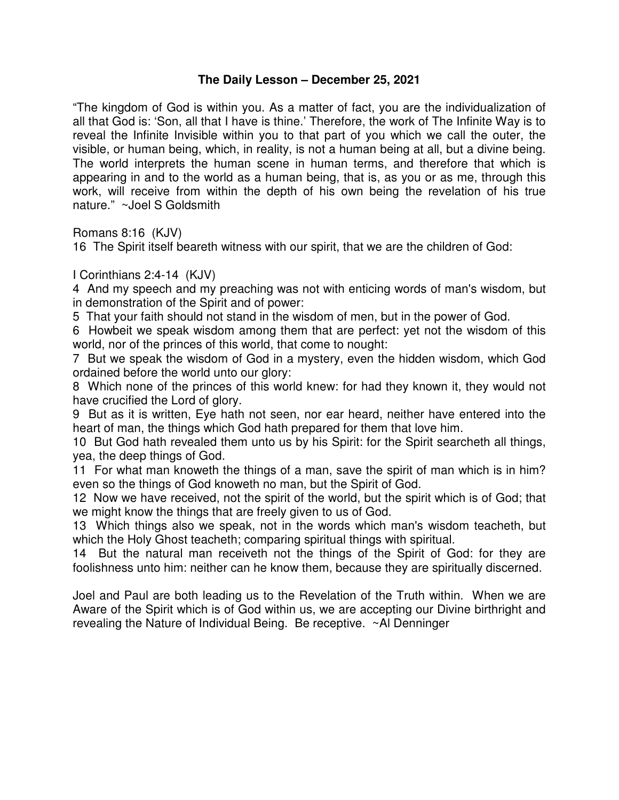# **The Daily Lesson – December 25, 2021**

"The kingdom of God is within you. As a matter of fact, you are the individualization of all that God is: 'Son, all that I have is thine.' Therefore, the work of The Infinite Way is to reveal the Infinite Invisible within you to that part of you which we call the outer, the visible, or human being, which, in reality, is not a human being at all, but a divine being. The world interprets the human scene in human terms, and therefore that which is appearing in and to the world as a human being, that is, as you or as me, through this work, will receive from within the depth of his own being the revelation of his true nature." ~Joel S Goldsmith

Romans 8:16 (KJV)

16 The Spirit itself beareth witness with our spirit, that we are the children of God:

# I Corinthians 2:4-14 (KJV)

4 And my speech and my preaching was not with enticing words of man's wisdom, but in demonstration of the Spirit and of power:

5 That your faith should not stand in the wisdom of men, but in the power of God.

6 Howbeit we speak wisdom among them that are perfect: yet not the wisdom of this world, nor of the princes of this world, that come to nought:

7 But we speak the wisdom of God in a mystery, even the hidden wisdom, which God ordained before the world unto our glory:

8 Which none of the princes of this world knew: for had they known it, they would not have crucified the Lord of glory.

9 But as it is written, Eye hath not seen, nor ear heard, neither have entered into the heart of man, the things which God hath prepared for them that love him.

10 But God hath revealed them unto us by his Spirit: for the Spirit searcheth all things, yea, the deep things of God.

11 For what man knoweth the things of a man, save the spirit of man which is in him? even so the things of God knoweth no man, but the Spirit of God.

12 Now we have received, not the spirit of the world, but the spirit which is of God; that we might know the things that are freely given to us of God.

13 Which things also we speak, not in the words which man's wisdom teacheth, but which the Holy Ghost teacheth; comparing spiritual things with spiritual.

14 But the natural man receiveth not the things of the Spirit of God: for they are foolishness unto him: neither can he know them, because they are spiritually discerned.

Joel and Paul are both leading us to the Revelation of the Truth within. When we are Aware of the Spirit which is of God within us, we are accepting our Divine birthright and revealing the Nature of Individual Being. Be receptive. ~Al Denninger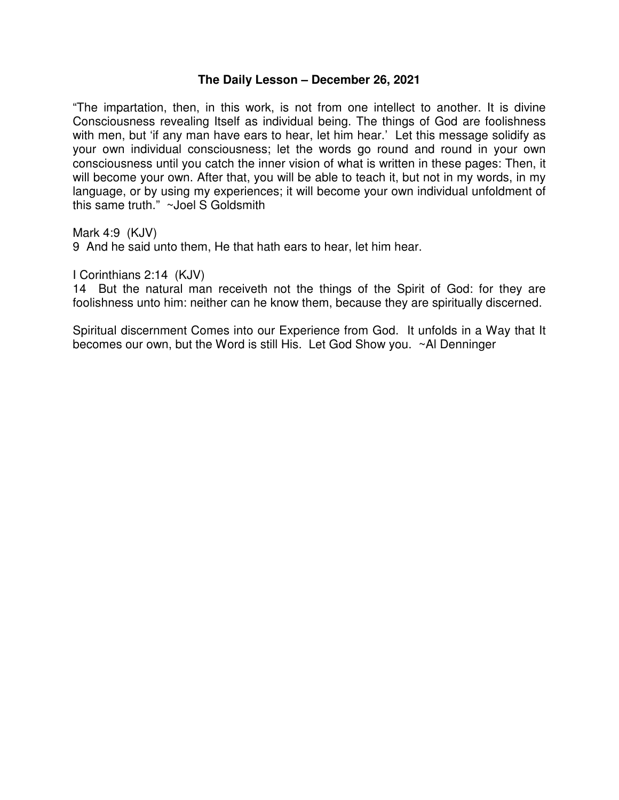#### **The Daily Lesson – December 26, 2021**

"The impartation, then, in this work, is not from one intellect to another. It is divine Consciousness revealing Itself as individual being. The things of God are foolishness with men, but 'if any man have ears to hear, let him hear.' Let this message solidify as your own individual consciousness; let the words go round and round in your own consciousness until you catch the inner vision of what is written in these pages: Then, it will become your own. After that, you will be able to teach it, but not in my words, in my language, or by using my experiences; it will become your own individual unfoldment of this same truth." ~Joel S Goldsmith

Mark 4:9 (KJV)

9 And he said unto them, He that hath ears to hear, let him hear.

I Corinthians 2:14 (KJV)

14 But the natural man receiveth not the things of the Spirit of God: for they are foolishness unto him: neither can he know them, because they are spiritually discerned.

Spiritual discernment Comes into our Experience from God. It unfolds in a Way that It becomes our own, but the Word is still His. Let God Show you. ~Al Denninger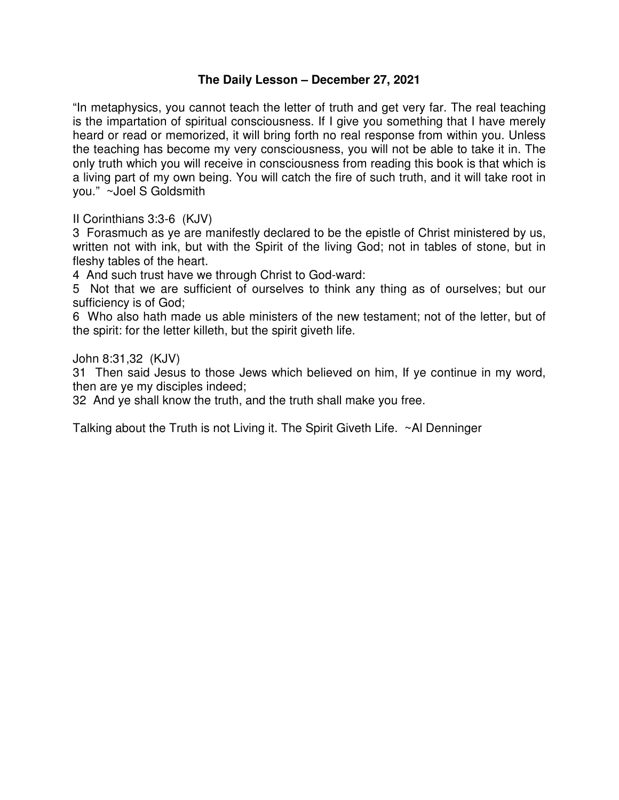# **The Daily Lesson – December 27, 2021**

"In metaphysics, you cannot teach the letter of truth and get very far. The real teaching is the impartation of spiritual consciousness. If I give you something that I have merely heard or read or memorized, it will bring forth no real response from within you. Unless the teaching has become my very consciousness, you will not be able to take it in. The only truth which you will receive in consciousness from reading this book is that which is a living part of my own being. You will catch the fire of such truth, and it will take root in you." ~Joel S Goldsmith

II Corinthians 3:3-6 (KJV)

3 Forasmuch as ye are manifestly declared to be the epistle of Christ ministered by us, written not with ink, but with the Spirit of the living God; not in tables of stone, but in fleshy tables of the heart.

4 And such trust have we through Christ to God-ward:

5 Not that we are sufficient of ourselves to think any thing as of ourselves; but our sufficiency is of God;

6 Who also hath made us able ministers of the new testament; not of the letter, but of the spirit: for the letter killeth, but the spirit giveth life.

John 8:31,32 (KJV)

31 Then said Jesus to those Jews which believed on him, If ye continue in my word, then are ye my disciples indeed;

32 And ye shall know the truth, and the truth shall make you free.

Talking about the Truth is not Living it. The Spirit Giveth Life. ~Al Denninger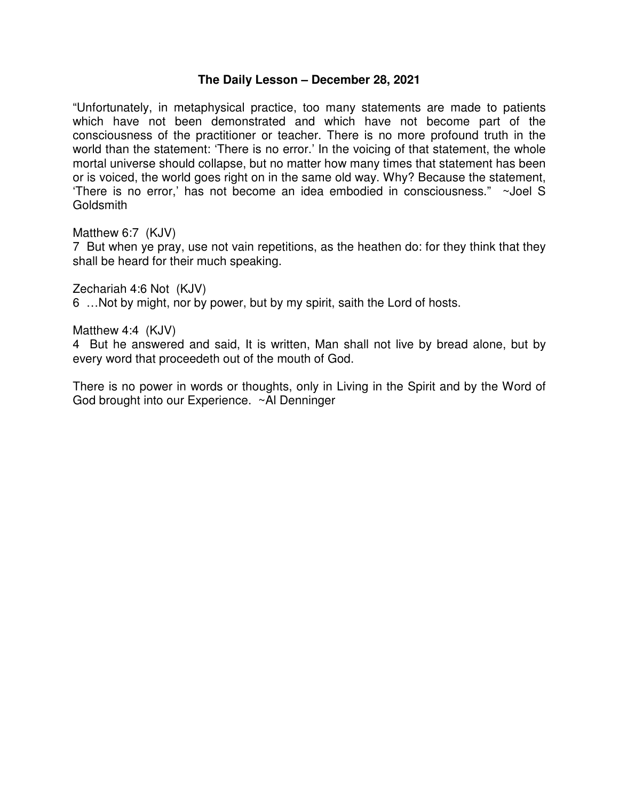## **The Daily Lesson – December 28, 2021**

"Unfortunately, in metaphysical practice, too many statements are made to patients which have not been demonstrated and which have not become part of the consciousness of the practitioner or teacher. There is no more profound truth in the world than the statement: 'There is no error.' In the voicing of that statement, the whole mortal universe should collapse, but no matter how many times that statement has been or is voiced, the world goes right on in the same old way. Why? Because the statement, 'There is no error,' has not become an idea embodied in consciousness." ~Joel S **Goldsmith** 

Matthew 6:7 (KJV)

7 But when ye pray, use not vain repetitions, as the heathen do: for they think that they shall be heard for their much speaking.

Zechariah 4:6 Not (KJV)

6 …Not by might, nor by power, but by my spirit, saith the Lord of hosts.

Matthew 4:4 (KJV)

4 But he answered and said, It is written, Man shall not live by bread alone, but by every word that proceedeth out of the mouth of God.

There is no power in words or thoughts, only in Living in the Spirit and by the Word of God brought into our Experience. ~Al Denninger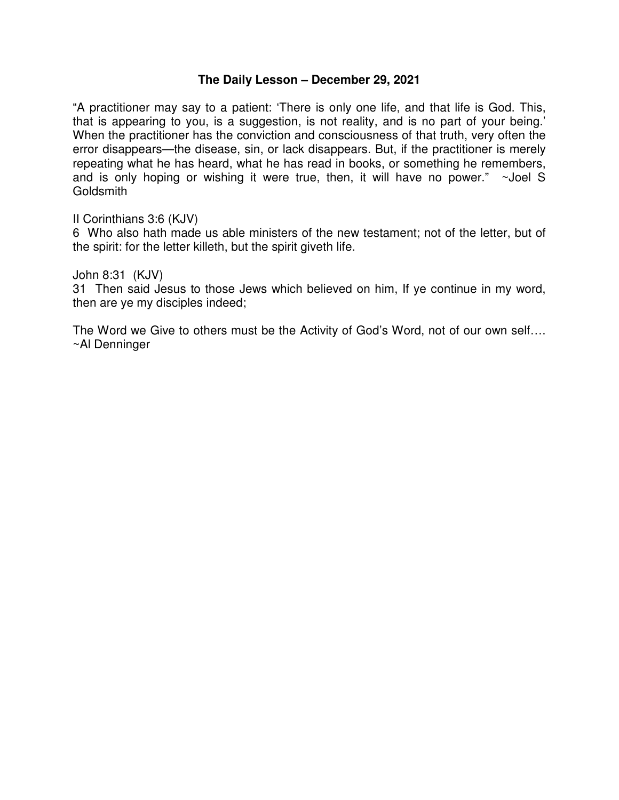## **The Daily Lesson – December 29, 2021**

"A practitioner may say to a patient: 'There is only one life, and that life is God. This, that is appearing to you, is a suggestion, is not reality, and is no part of your being.' When the practitioner has the conviction and consciousness of that truth, very often the error disappears—the disease, sin, or lack disappears. But, if the practitioner is merely repeating what he has heard, what he has read in books, or something he remembers, and is only hoping or wishing it were true, then, it will have no power."  $\sim$  Joel S Goldsmith

II Corinthians 3:6 (KJV)

6 Who also hath made us able ministers of the new testament; not of the letter, but of the spirit: for the letter killeth, but the spirit giveth life.

John 8:31 (KJV)

31 Then said Jesus to those Jews which believed on him, If ye continue in my word, then are ye my disciples indeed;

The Word we Give to others must be the Activity of God's Word, not of our own self…. ~Al Denninger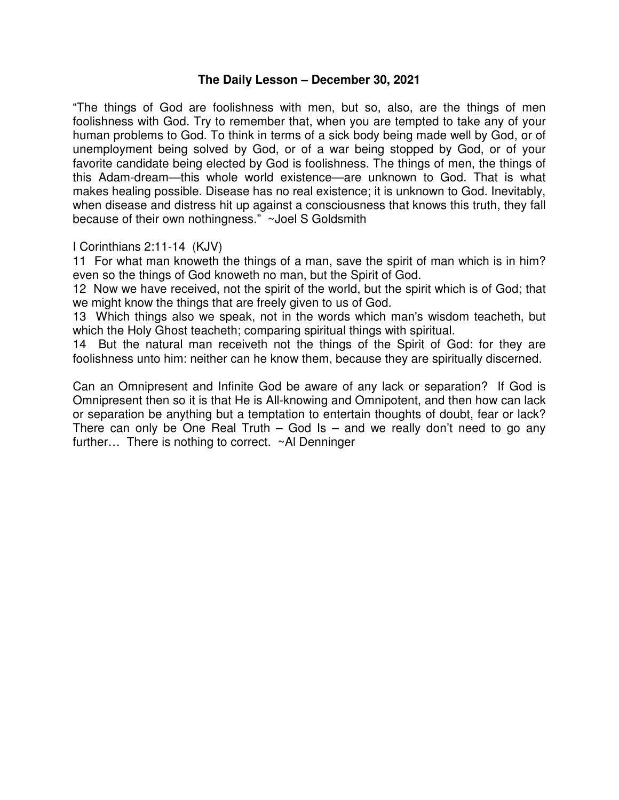## **The Daily Lesson – December 30, 2021**

"The things of God are foolishness with men, but so, also, are the things of men foolishness with God. Try to remember that, when you are tempted to take any of your human problems to God. To think in terms of a sick body being made well by God, or of unemployment being solved by God, or of a war being stopped by God, or of your favorite candidate being elected by God is foolishness. The things of men, the things of this Adam-dream—this whole world existence—are unknown to God. That is what makes healing possible. Disease has no real existence; it is unknown to God. Inevitably, when disease and distress hit up against a consciousness that knows this truth, they fall because of their own nothingness." ~Joel S Goldsmith

I Corinthians 2:11-14 (KJV)

11 For what man knoweth the things of a man, save the spirit of man which is in him? even so the things of God knoweth no man, but the Spirit of God.

12 Now we have received, not the spirit of the world, but the spirit which is of God; that we might know the things that are freely given to us of God.

13 Which things also we speak, not in the words which man's wisdom teacheth, but which the Holy Ghost teacheth; comparing spiritual things with spiritual.

14 But the natural man receiveth not the things of the Spirit of God: for they are foolishness unto him: neither can he know them, because they are spiritually discerned.

Can an Omnipresent and Infinite God be aware of any lack or separation? If God is Omnipresent then so it is that He is All-knowing and Omnipotent, and then how can lack or separation be anything but a temptation to entertain thoughts of doubt, fear or lack? There can only be One Real Truth – God  $ls$  – and we really don't need to go any further... There is nothing to correct. ~Al Denninger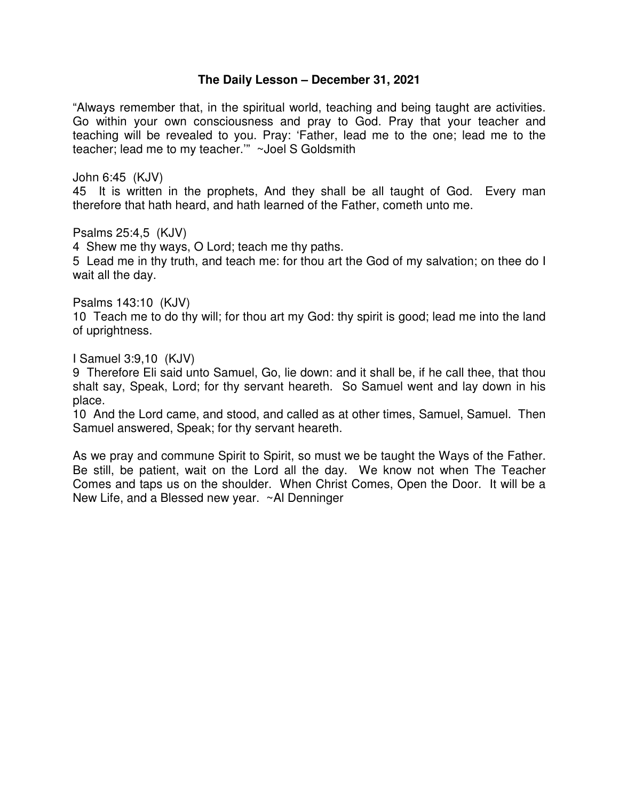#### **The Daily Lesson – December 31, 2021**

"Always remember that, in the spiritual world, teaching and being taught are activities. Go within your own consciousness and pray to God. Pray that your teacher and teaching will be revealed to you. Pray: 'Father, lead me to the one; lead me to the teacher; lead me to my teacher.'" ~Joel S Goldsmith

John 6:45 (KJV)

45 It is written in the prophets, And they shall be all taught of God. Every man therefore that hath heard, and hath learned of the Father, cometh unto me.

Psalms 25:4,5 (KJV)

4 Shew me thy ways, O Lord; teach me thy paths.

5 Lead me in thy truth, and teach me: for thou art the God of my salvation; on thee do I wait all the day.

Psalms 143:10 (KJV)

10 Teach me to do thy will; for thou art my God: thy spirit is good; lead me into the land of uprightness.

I Samuel 3:9,10 (KJV)

9 Therefore Eli said unto Samuel, Go, lie down: and it shall be, if he call thee, that thou shalt say, Speak, Lord; for thy servant heareth. So Samuel went and lay down in his place.

10 And the Lord came, and stood, and called as at other times, Samuel, Samuel. Then Samuel answered, Speak; for thy servant heareth.

As we pray and commune Spirit to Spirit, so must we be taught the Ways of the Father. Be still, be patient, wait on the Lord all the day. We know not when The Teacher Comes and taps us on the shoulder. When Christ Comes, Open the Door. It will be a New Life, and a Blessed new year. ~Al Denninger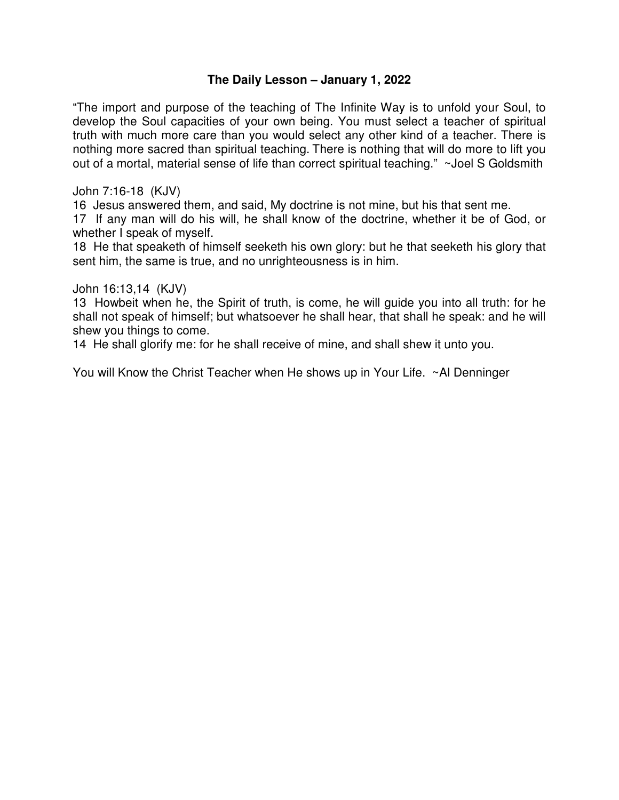# **The Daily Lesson – January 1, 2022**

"The import and purpose of the teaching of The Infinite Way is to unfold your Soul, to develop the Soul capacities of your own being. You must select a teacher of spiritual truth with much more care than you would select any other kind of a teacher. There is nothing more sacred than spiritual teaching. There is nothing that will do more to lift you out of a mortal, material sense of life than correct spiritual teaching." ~Joel S Goldsmith

#### John 7:16-18 (KJV)

16 Jesus answered them, and said, My doctrine is not mine, but his that sent me.

17 If any man will do his will, he shall know of the doctrine, whether it be of God, or whether I speak of myself.

18 He that speaketh of himself seeketh his own glory: but he that seeketh his glory that sent him, the same is true, and no unrighteousness is in him.

#### John 16:13,14 (KJV)

13 Howbeit when he, the Spirit of truth, is come, he will guide you into all truth: for he shall not speak of himself; but whatsoever he shall hear, that shall he speak: and he will shew you things to come.

14 He shall glorify me: for he shall receive of mine, and shall shew it unto you.

You will Know the Christ Teacher when He shows up in Your Life. ~Al Denninger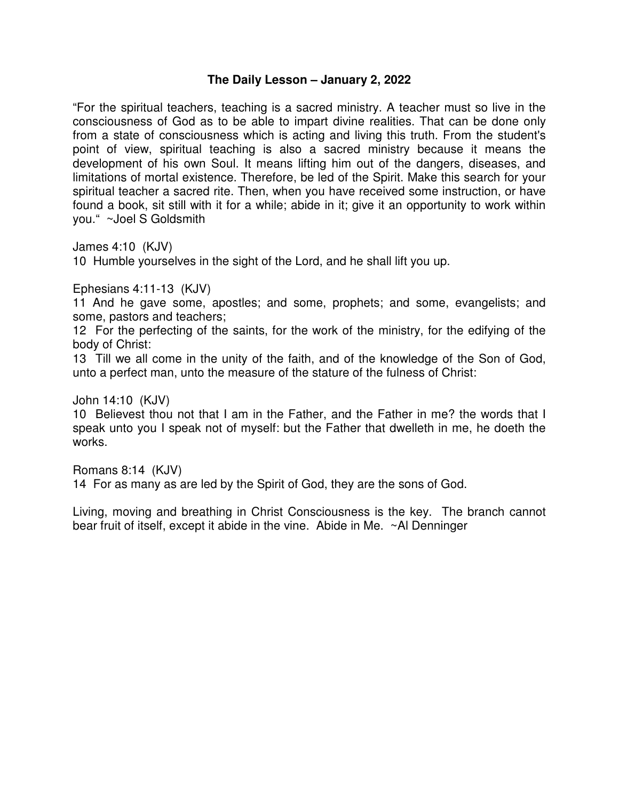## **The Daily Lesson – January 2, 2022**

"For the spiritual teachers, teaching is a sacred ministry. A teacher must so live in the consciousness of God as to be able to impart divine realities. That can be done only from a state of consciousness which is acting and living this truth. From the student's point of view, spiritual teaching is also a sacred ministry because it means the development of his own Soul. It means lifting him out of the dangers, diseases, and limitations of mortal existence. Therefore, be led of the Spirit. Make this search for your spiritual teacher a sacred rite. Then, when you have received some instruction, or have found a book, sit still with it for a while; abide in it; give it an opportunity to work within you." ~Joel S Goldsmith

James 4:10 (KJV)

10 Humble yourselves in the sight of the Lord, and he shall lift you up.

Ephesians 4:11-13 (KJV)

11 And he gave some, apostles; and some, prophets; and some, evangelists; and some, pastors and teachers;

12 For the perfecting of the saints, for the work of the ministry, for the edifying of the body of Christ:

13 Till we all come in the unity of the faith, and of the knowledge of the Son of God, unto a perfect man, unto the measure of the stature of the fulness of Christ:

John 14:10 (KJV)

10 Believest thou not that I am in the Father, and the Father in me? the words that I speak unto you I speak not of myself: but the Father that dwelleth in me, he doeth the works.

Romans 8:14 (KJV)

14 For as many as are led by the Spirit of God, they are the sons of God.

Living, moving and breathing in Christ Consciousness is the key. The branch cannot bear fruit of itself, except it abide in the vine. Abide in Me. ~Al Denninger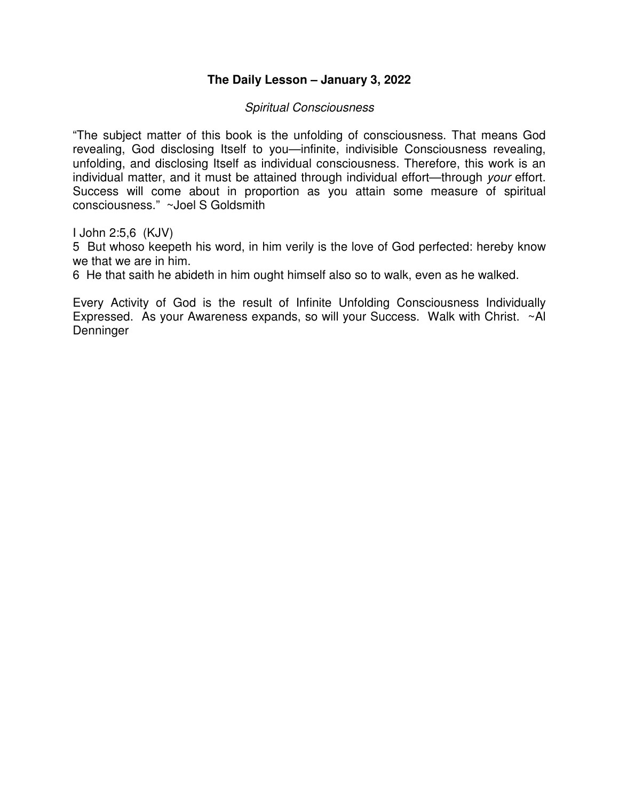# **The Daily Lesson – January 3, 2022**

#### *Spiritual Consciousness*

"The subject matter of this book is the unfolding of consciousness. That means God revealing, God disclosing Itself to you—infinite, indivisible Consciousness revealing, unfolding, and disclosing Itself as individual consciousness. Therefore, this work is an individual matter, and it must be attained through individual effort—through *your* effort. Success will come about in proportion as you attain some measure of spiritual consciousness." ~Joel S Goldsmith

I John 2:5,6 (KJV)

5 But whoso keepeth his word, in him verily is the love of God perfected: hereby know we that we are in him.

6 He that saith he abideth in him ought himself also so to walk, even as he walked.

Every Activity of God is the result of Infinite Unfolding Consciousness Individually Expressed. As your Awareness expands, so will your Success. Walk with Christ. ~Al **Denninger**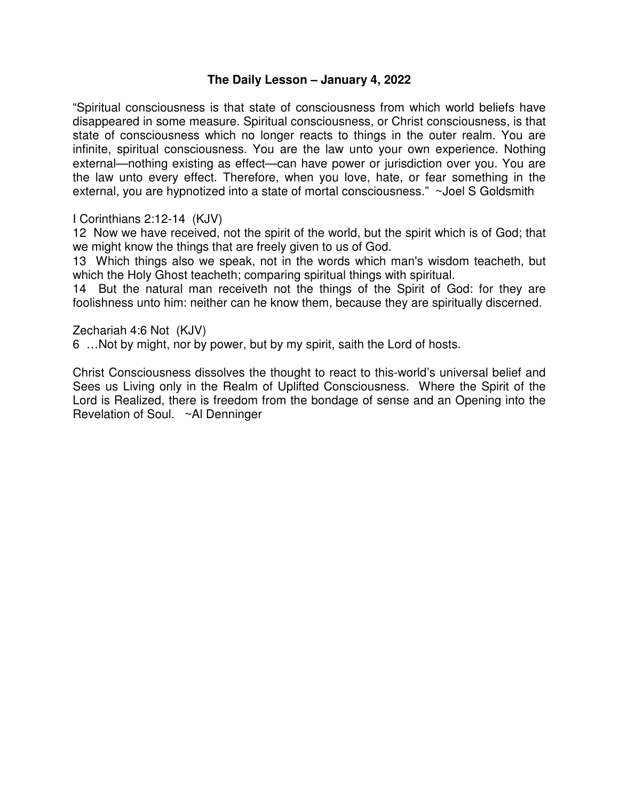## **The Daily Lesson – January 4, 2022**

"Spiritual consciousness is that state of consciousness from which world beliefs have disappeared in some measure. Spiritual consciousness, or Christ consciousness, is that state of consciousness which no longer reacts to things in the outer realm. You are infinite, spiritual consciousness. You are the law unto your own experience. Nothing external—nothing existing as effect—can have power or jurisdiction over you. You are the law unto every effect. Therefore, when you love, hate, or fear something in the external, you are hypnotized into a state of mortal consciousness." ~Joel S Goldsmith

I Corinthians 2:12-14 (KJV)

12 Now we have received, not the spirit of the world, but the spirit which is of God; that we might know the things that are freely given to us of God.

13 Which things also we speak, not in the words which man's wisdom teacheth, but which the Holy Ghost teacheth; comparing spiritual things with spiritual.

14 But the natural man receiveth not the things of the Spirit of God: for they are foolishness unto him: neither can he know them, because they are spiritually discerned.

Zechariah 4:6 Not (KJV)

6 …Not by might, nor by power, but by my spirit, saith the Lord of hosts.

Christ Consciousness dissolves the thought to react to this-world's universal belief and Sees us Living only in the Realm of Uplifted Consciousness. Where the Spirit of the Lord is Realized, there is freedom from the bondage of sense and an Opening into the Revelation of Soul. ~Al Denninger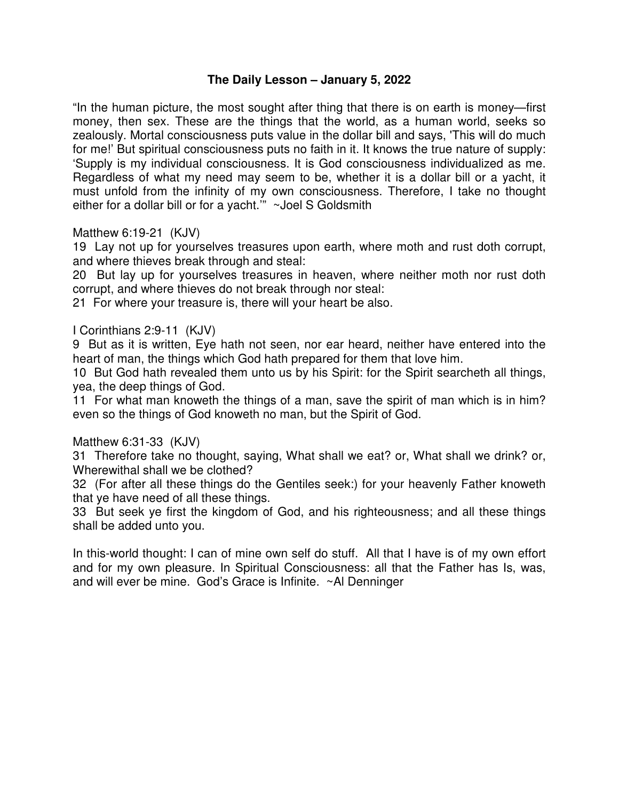# **The Daily Lesson – January 5, 2022**

"In the human picture, the most sought after thing that there is on earth is money—first money, then sex. These are the things that the world, as a human world, seeks so zealously. Mortal consciousness puts value in the dollar bill and says, 'This will do much for me!' But spiritual consciousness puts no faith in it. It knows the true nature of supply: 'Supply is my individual consciousness. It is God consciousness individualized as me. Regardless of what my need may seem to be, whether it is a dollar bill or a yacht, it must unfold from the infinity of my own consciousness. Therefore, I take no thought either for a dollar bill or for a yacht.'" ~Joel S Goldsmith

## Matthew 6:19-21 (KJV)

19 Lay not up for yourselves treasures upon earth, where moth and rust doth corrupt, and where thieves break through and steal:

20 But lay up for yourselves treasures in heaven, where neither moth nor rust doth corrupt, and where thieves do not break through nor steal:

21 For where your treasure is, there will your heart be also.

#### I Corinthians 2:9-11 (KJV)

9 But as it is written, Eye hath not seen, nor ear heard, neither have entered into the heart of man, the things which God hath prepared for them that love him.

10 But God hath revealed them unto us by his Spirit: for the Spirit searcheth all things, yea, the deep things of God.

11 For what man knoweth the things of a man, save the spirit of man which is in him? even so the things of God knoweth no man, but the Spirit of God.

#### Matthew 6:31-33 (KJV)

31 Therefore take no thought, saying, What shall we eat? or, What shall we drink? or, Wherewithal shall we be clothed?

32 (For after all these things do the Gentiles seek:) for your heavenly Father knoweth that ye have need of all these things.

33 But seek ye first the kingdom of God, and his righteousness; and all these things shall be added unto you.

In this-world thought: I can of mine own self do stuff. All that I have is of my own effort and for my own pleasure. In Spiritual Consciousness: all that the Father has Is, was, and will ever be mine. God's Grace is Infinite. ~Al Denninger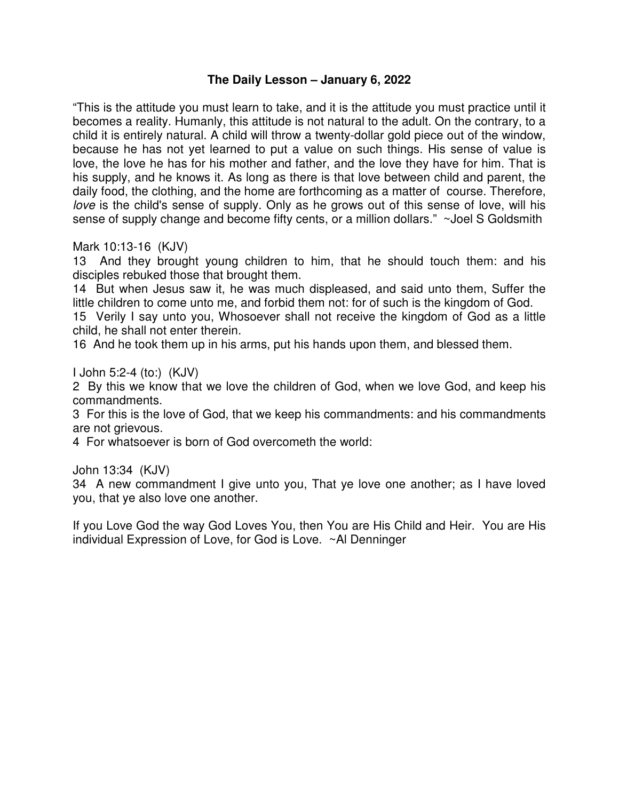# **The Daily Lesson – January 6, 2022**

"This is the attitude you must learn to take, and it is the attitude you must practice until it becomes a reality. Humanly, this attitude is not natural to the adult. On the contrary, to a child it is entirely natural. A child will throw a twenty-dollar gold piece out of the window, because he has not yet learned to put a value on such things. His sense of value is love, the love he has for his mother and father, and the love they have for him. That is his supply, and he knows it. As long as there is that love between child and parent, the daily food, the clothing, and the home are forthcoming as a matter of course. Therefore, *love* is the child's sense of supply. Only as he grows out of this sense of love, will his sense of supply change and become fifty cents, or a million dollars." ~Joel S Goldsmith

Mark 10:13-16 (KJV)

13 And they brought young children to him, that he should touch them: and his disciples rebuked those that brought them.

14 But when Jesus saw it, he was much displeased, and said unto them, Suffer the little children to come unto me, and forbid them not: for of such is the kingdom of God.

15 Verily I say unto you, Whosoever shall not receive the kingdom of God as a little child, he shall not enter therein.

16 And he took them up in his arms, put his hands upon them, and blessed them.

I John 5:2-4 (to:) (KJV)

2 By this we know that we love the children of God, when we love God, and keep his commandments.

3 For this is the love of God, that we keep his commandments: and his commandments are not grievous.

4 For whatsoever is born of God overcometh the world:

John 13:34 (KJV)

34 A new commandment I give unto you, That ye love one another; as I have loved you, that ye also love one another.

If you Love God the way God Loves You, then You are His Child and Heir. You are His individual Expression of Love, for God is Love. ~Al Denninger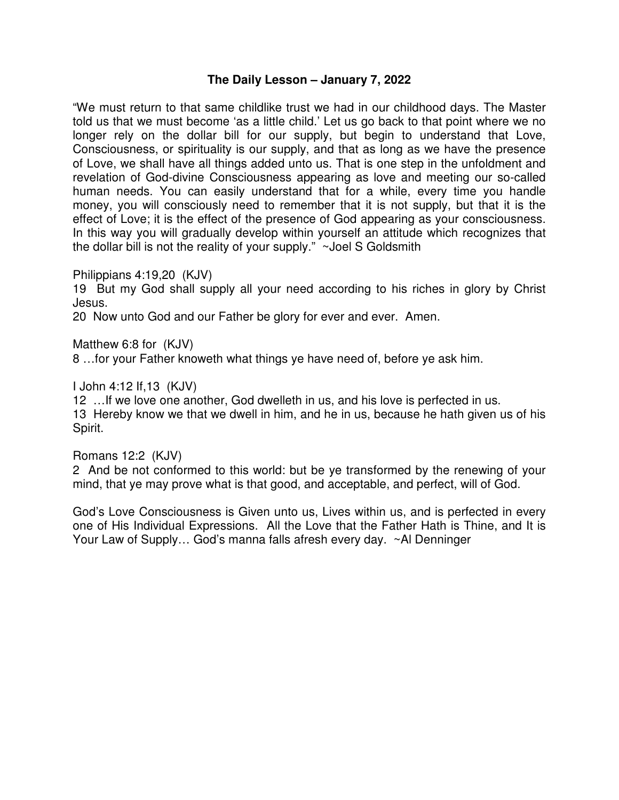# **The Daily Lesson – January 7, 2022**

"We must return to that same childlike trust we had in our childhood days. The Master told us that we must become 'as a little child.' Let us go back to that point where we no longer rely on the dollar bill for our supply, but begin to understand that Love, Consciousness, or spirituality is our supply, and that as long as we have the presence of Love, we shall have all things added unto us. That is one step in the unfoldment and revelation of God-divine Consciousness appearing as love and meeting our so-called human needs. You can easily understand that for a while, every time you handle money, you will consciously need to remember that it is not supply, but that it is the effect of Love; it is the effect of the presence of God appearing as your consciousness. In this way you will gradually develop within yourself an attitude which recognizes that the dollar bill is not the reality of your supply." ~Joel S Goldsmith

Philippians 4:19,20 (KJV)

19 But my God shall supply all your need according to his riches in glory by Christ Jesus.

20 Now unto God and our Father be glory for ever and ever. Amen.

Matthew 6:8 for (KJV)

8 …for your Father knoweth what things ye have need of, before ye ask him.

I John 4:12 If,13 (KJV)

12 …If we love one another, God dwelleth in us, and his love is perfected in us.

13 Hereby know we that we dwell in him, and he in us, because he hath given us of his Spirit.

Romans 12:2 (KJV)

2 And be not conformed to this world: but be ye transformed by the renewing of your mind, that ye may prove what is that good, and acceptable, and perfect, will of God.

God's Love Consciousness is Given unto us, Lives within us, and is perfected in every one of His Individual Expressions. All the Love that the Father Hath is Thine, and It is Your Law of Supply… God's manna falls afresh every day. ~Al Denninger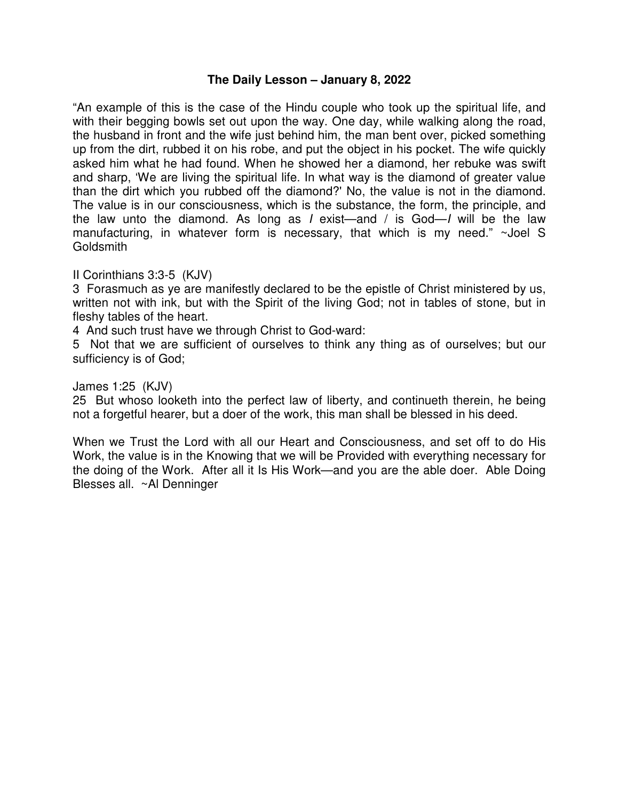#### **The Daily Lesson – January 8, 2022**

"An example of this is the case of the Hindu couple who took up the spiritual life, and with their begging bowls set out upon the way. One day, while walking along the road, the husband in front and the wife just behind him, the man bent over, picked something up from the dirt, rubbed it on his robe, and put the object in his pocket. The wife quickly asked him what he had found. When he showed her a diamond, her rebuke was swift and sharp, 'We are living the spiritual life. In what way is the diamond of greater value than the dirt which you rubbed off the diamond?' No, the value is not in the diamond. The value is in our consciousness, which is the substance, the form, the principle, and the law unto the diamond. As long as *I* exist—and / is God—*I* will be the law manufacturing, in whatever form is necessary, that which is my need." ~Joel S Goldsmith

II Corinthians 3:3-5 (KJV)

3 Forasmuch as ye are manifestly declared to be the epistle of Christ ministered by us, written not with ink, but with the Spirit of the living God; not in tables of stone, but in fleshy tables of the heart.

4 And such trust have we through Christ to God-ward:

5 Not that we are sufficient of ourselves to think any thing as of ourselves; but our sufficiency is of God;

James 1:25 (KJV)

25 But whoso looketh into the perfect law of liberty, and continueth therein, he being not a forgetful hearer, but a doer of the work, this man shall be blessed in his deed.

When we Trust the Lord with all our Heart and Consciousness, and set off to do His Work, the value is in the Knowing that we will be Provided with everything necessary for the doing of the Work. After all it Is His Work—and you are the able doer. Able Doing Blesses all. ~Al Denninger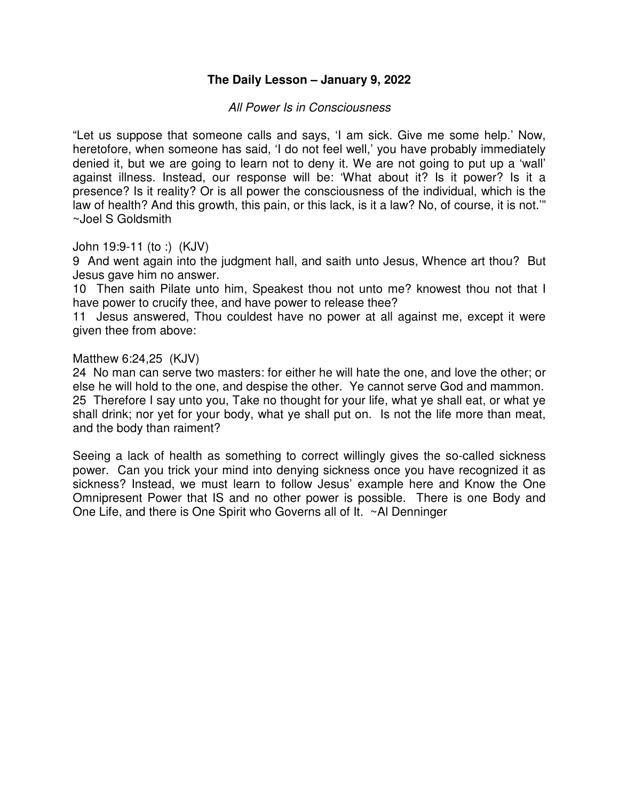# **The Daily Lesson – January 9, 2022**

#### *All Power Is in Consciousness*

"Let us suppose that someone calls and says, 'I am sick. Give me some help.' Now, heretofore, when someone has said, 'I do not feel well,' you have probably immediately denied it, but we are going to learn not to deny it. We are not going to put up a 'wall' against illness. Instead, our response will be: 'What about it? Is it power? Is it a presence? Is it reality? Or is all power the consciousness of the individual, which is the law of health? And this growth, this pain, or this lack, is it a law? No, of course, it is not.'" ~Joel S Goldsmith

John 19:9-11 (to :) (KJV)

9 And went again into the judgment hall, and saith unto Jesus, Whence art thou? But Jesus gave him no answer.

10 Then saith Pilate unto him, Speakest thou not unto me? knowest thou not that I have power to crucify thee, and have power to release thee?

11 Jesus answered, Thou couldest have no power at all against me, except it were given thee from above:

#### Matthew 6:24,25 (KJV)

24 No man can serve two masters: for either he will hate the one, and love the other; or else he will hold to the one, and despise the other. Ye cannot serve God and mammon. 25 Therefore I say unto you, Take no thought for your life, what ye shall eat, or what ye shall drink; nor yet for your body, what ye shall put on. Is not the life more than meat, and the body than raiment?

Seeing a lack of health as something to correct willingly gives the so-called sickness power. Can you trick your mind into denying sickness once you have recognized it as sickness? Instead, we must learn to follow Jesus' example here and Know the One Omnipresent Power that IS and no other power is possible. There is one Body and One Life, and there is One Spirit who Governs all of It. ~Al Denninger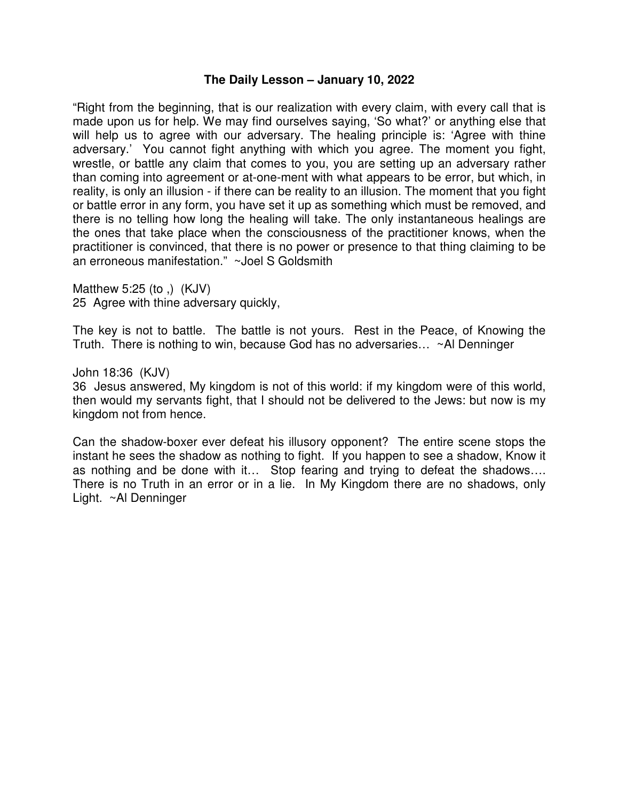#### **The Daily Lesson – January 10, 2022**

"Right from the beginning, that is our realization with every claim, with every call that is made upon us for help. We may find ourselves saying, 'So what?' or anything else that will help us to agree with our adversary. The healing principle is: 'Agree with thine adversary.' You cannot fight anything with which you agree. The moment you fight, wrestle, or battle any claim that comes to you, you are setting up an adversary rather than coming into agreement or at-one-ment with what appears to be error, but which, in reality, is only an illusion - if there can be reality to an illusion. The moment that you fight or battle error in any form, you have set it up as something which must be removed, and there is no telling how long the healing will take. The only instantaneous healings are the ones that take place when the consciousness of the practitioner knows, when the practitioner is convinced, that there is no power or presence to that thing claiming to be an erroneous manifestation." ~Joel S Goldsmith

Matthew 5:25 (to ,) (KJV) 25 Agree with thine adversary quickly,

The key is not to battle. The battle is not yours. Rest in the Peace, of Knowing the Truth. There is nothing to win, because God has no adversaries… ~Al Denninger

John 18:36 (KJV)

36 Jesus answered, My kingdom is not of this world: if my kingdom were of this world, then would my servants fight, that I should not be delivered to the Jews: but now is my kingdom not from hence.

Can the shadow-boxer ever defeat his illusory opponent? The entire scene stops the instant he sees the shadow as nothing to fight. If you happen to see a shadow, Know it as nothing and be done with it… Stop fearing and trying to defeat the shadows…. There is no Truth in an error or in a lie. In My Kingdom there are no shadows, only Light. ~Al Denninger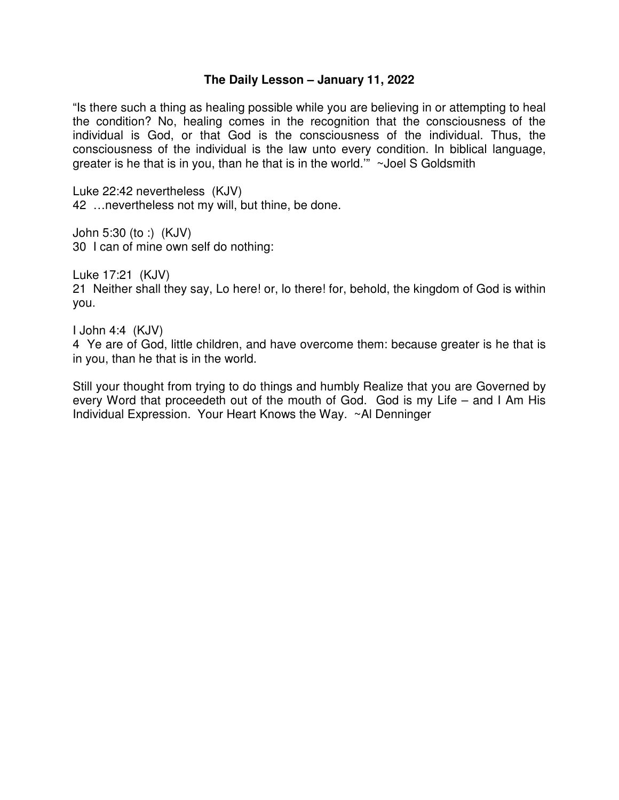#### **The Daily Lesson – January 11, 2022**

"Is there such a thing as healing possible while you are believing in or attempting to heal the condition? No, healing comes in the recognition that the consciousness of the individual is God, or that God is the consciousness of the individual. Thus, the consciousness of the individual is the law unto every condition. In biblical language, greater is he that is in you, than he that is in the world.'" ~Joel S Goldsmith

Luke 22:42 nevertheless (KJV) 42 …nevertheless not my will, but thine, be done.

John 5:30 (to :) (KJV) 30 I can of mine own self do nothing:

Luke 17:21 (KJV)

21 Neither shall they say, Lo here! or, lo there! for, behold, the kingdom of God is within you.

I John 4:4 (KJV)

4 Ye are of God, little children, and have overcome them: because greater is he that is in you, than he that is in the world.

Still your thought from trying to do things and humbly Realize that you are Governed by every Word that proceedeth out of the mouth of God. God is my Life – and I Am His Individual Expression. Your Heart Knows the Way. ~Al Denninger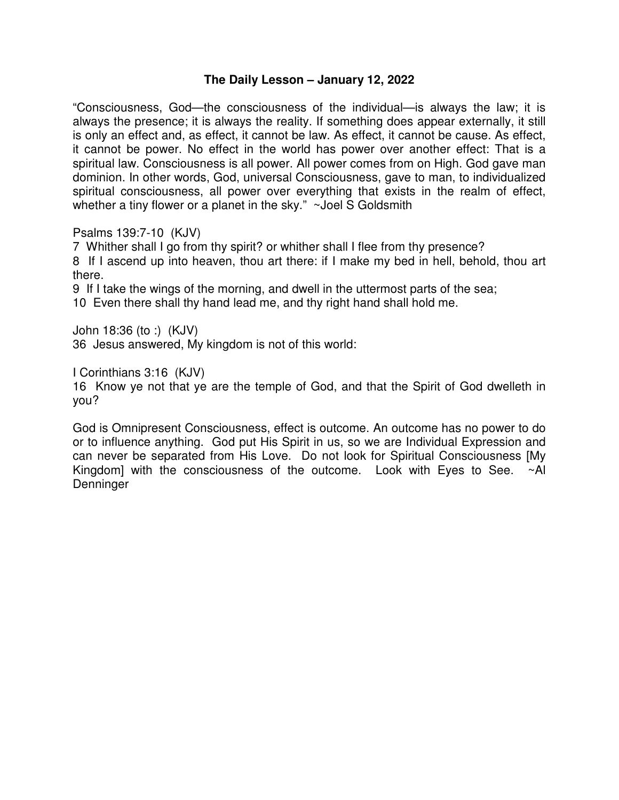## **The Daily Lesson – January 12, 2022**

"Consciousness, God—the consciousness of the individual—is always the law; it is always the presence; it is always the reality. If something does appear externally, it still is only an effect and, as effect, it cannot be law. As effect, it cannot be cause. As effect, it cannot be power. No effect in the world has power over another effect: That is a spiritual law. Consciousness is all power. All power comes from on High. God gave man dominion. In other words, God, universal Consciousness, gave to man, to individualized spiritual consciousness, all power over everything that exists in the realm of effect, whether a tiny flower or a planet in the sky." ~Joel S Goldsmith

Psalms 139:7-10 (KJV)

7 Whither shall I go from thy spirit? or whither shall I flee from thy presence? 8 If I ascend up into heaven, thou art there: if I make my bed in hell, behold, thou art there.

9 If I take the wings of the morning, and dwell in the uttermost parts of the sea;

10 Even there shall thy hand lead me, and thy right hand shall hold me.

John 18:36 (to :) (KJV) 36 Jesus answered, My kingdom is not of this world:

I Corinthians 3:16 (KJV)

16 Know ye not that ye are the temple of God, and that the Spirit of God dwelleth in you?

God is Omnipresent Consciousness, effect is outcome. An outcome has no power to do or to influence anything. God put His Spirit in us, so we are Individual Expression and can never be separated from His Love. Do not look for Spiritual Consciousness [My Kingdom] with the consciousness of the outcome. Look with Eyes to See. ~Al **Denninger**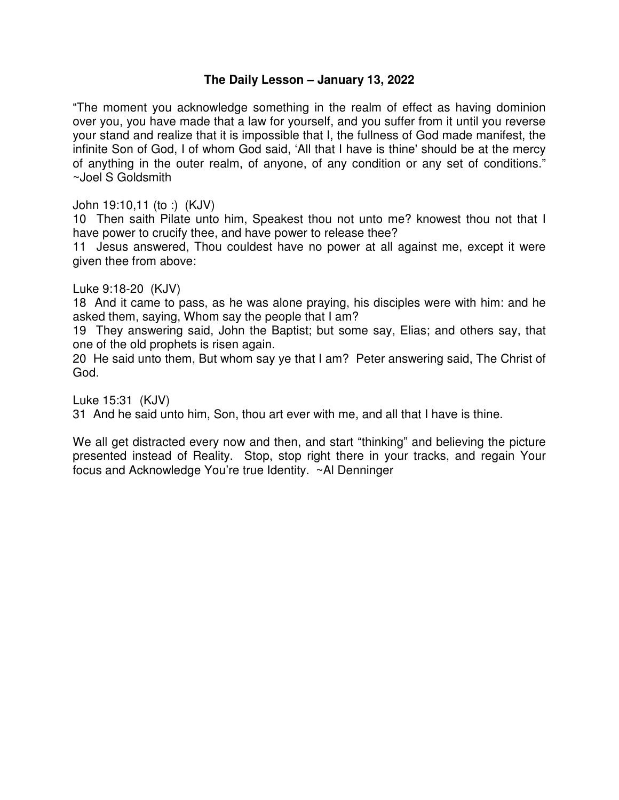## **The Daily Lesson – January 13, 2022**

"The moment you acknowledge something in the realm of effect as having dominion over you, you have made that a law for yourself, and you suffer from it until you reverse your stand and realize that it is impossible that I, the fullness of God made manifest, the infinite Son of God, I of whom God said, 'All that I have is thine' should be at the mercy of anything in the outer realm, of anyone, of any condition or any set of conditions." ~Joel S Goldsmith

John 19:10,11 (to :) (KJV)

10 Then saith Pilate unto him, Speakest thou not unto me? knowest thou not that I have power to crucify thee, and have power to release thee?

11 Jesus answered, Thou couldest have no power at all against me, except it were given thee from above:

Luke 9:18-20 (KJV)

18 And it came to pass, as he was alone praying, his disciples were with him: and he asked them, saying, Whom say the people that I am?

19 They answering said, John the Baptist; but some say, Elias; and others say, that one of the old prophets is risen again.

20 He said unto them, But whom say ye that I am? Peter answering said, The Christ of God.

Luke 15:31 (KJV) 31 And he said unto him, Son, thou art ever with me, and all that I have is thine.

We all get distracted every now and then, and start "thinking" and believing the picture presented instead of Reality. Stop, stop right there in your tracks, and regain Your focus and Acknowledge You're true Identity. ~Al Denninger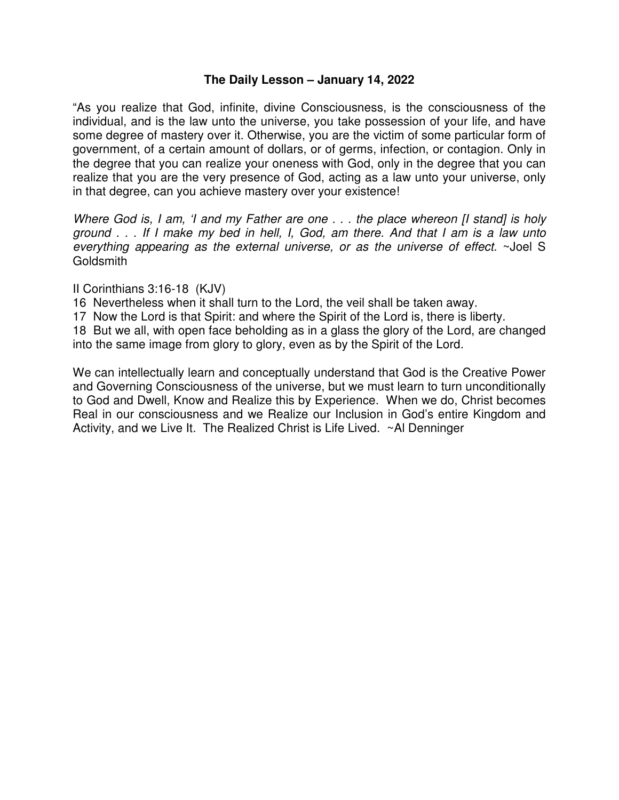## **The Daily Lesson – January 14, 2022**

"As you realize that God, infinite, divine Consciousness, is the consciousness of the individual, and is the law unto the universe, you take possession of your life, and have some degree of mastery over it. Otherwise, you are the victim of some particular form of government, of a certain amount of dollars, or of germs, infection, or contagion. Only in the degree that you can realize your oneness with God, only in the degree that you can realize that you are the very presence of God, acting as a law unto your universe, only in that degree, can you achieve mastery over your existence!

*Where God is, I am, 'I and my Father are one . . . the place whereon [I stand] is holy ground . . . If I make my bed in hell, I, God, am there. And that I am is a law unto everything appearing as the external universe, or as the universe of effect.* ~Joel S Goldsmith

#### II Corinthians 3:16-18 (KJV)

16 Nevertheless when it shall turn to the Lord, the veil shall be taken away.

17 Now the Lord is that Spirit: and where the Spirit of the Lord is, there is liberty.

18 But we all, with open face beholding as in a glass the glory of the Lord, are changed into the same image from glory to glory, even as by the Spirit of the Lord.

We can intellectually learn and conceptually understand that God is the Creative Power and Governing Consciousness of the universe, but we must learn to turn unconditionally to God and Dwell, Know and Realize this by Experience. When we do, Christ becomes Real in our consciousness and we Realize our Inclusion in God's entire Kingdom and Activity, and we Live It. The Realized Christ is Life Lived. ~Al Denninger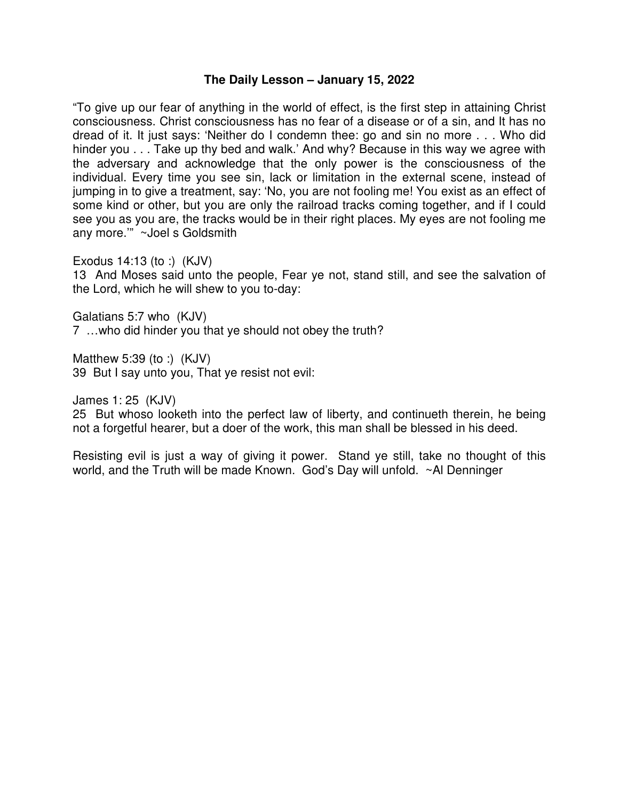#### **The Daily Lesson – January 15, 2022**

"To give up our fear of anything in the world of effect, is the first step in attaining Christ consciousness. Christ consciousness has no fear of a disease or of a sin, and It has no dread of it. It just says: 'Neither do I condemn thee: go and sin no more . . . Who did hinder you . . . Take up thy bed and walk.' And why? Because in this way we agree with the adversary and acknowledge that the only power is the consciousness of the individual. Every time you see sin, lack or limitation in the external scene, instead of jumping in to give a treatment, say: 'No, you are not fooling me! You exist as an effect of some kind or other, but you are only the railroad tracks coming together, and if I could see you as you are, the tracks would be in their right places. My eyes are not fooling me any more.'" ~Joel s Goldsmith

Exodus 14:13 (to :) (KJV)

13 And Moses said unto the people, Fear ye not, stand still, and see the salvation of the Lord, which he will shew to you to-day:

Galatians 5:7 who (KJV)

7 …who did hinder you that ye should not obey the truth?

Matthew 5:39 (to :) (KJV) 39 But I say unto you, That ye resist not evil:

James 1: 25 (KJV)

25 But whoso looketh into the perfect law of liberty, and continueth therein, he being not a forgetful hearer, but a doer of the work, this man shall be blessed in his deed.

Resisting evil is just a way of giving it power. Stand ye still, take no thought of this world, and the Truth will be made Known. God's Day will unfold. ~Al Denninger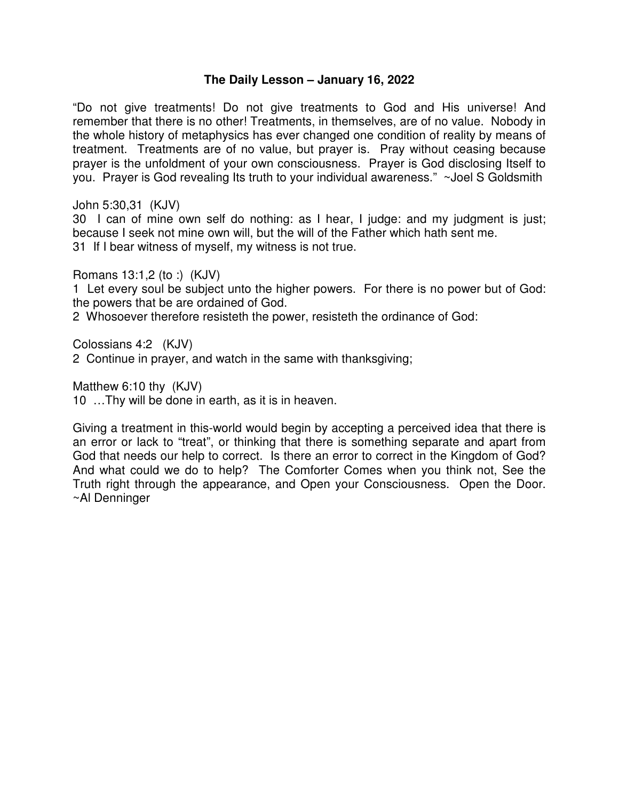## **The Daily Lesson – January 16, 2022**

"Do not give treatments! Do not give treatments to God and His universe! And remember that there is no other! Treatments, in themselves, are of no value. Nobody in the whole history of metaphysics has ever changed one condition of reality by means of treatment. Treatments are of no value, but prayer is. Pray without ceasing because prayer is the unfoldment of your own consciousness. Prayer is God disclosing Itself to you. Prayer is God revealing Its truth to your individual awareness." ~Joel S Goldsmith

John 5:30,31 (KJV)

30 I can of mine own self do nothing: as I hear, I judge: and my judgment is just; because I seek not mine own will, but the will of the Father which hath sent me. 31 If I bear witness of myself, my witness is not true.

Romans 13:1,2 (to :) (KJV)

1 Let every soul be subject unto the higher powers. For there is no power but of God: the powers that be are ordained of God.

2 Whosoever therefore resisteth the power, resisteth the ordinance of God:

Colossians 4:2 (KJV)

2 Continue in prayer, and watch in the same with thanksgiving;

Matthew 6:10 thy (KJV) 10 …Thy will be done in earth, as it is in heaven.

Giving a treatment in this-world would begin by accepting a perceived idea that there is an error or lack to "treat", or thinking that there is something separate and apart from God that needs our help to correct. Is there an error to correct in the Kingdom of God? And what could we do to help? The Comforter Comes when you think not, See the Truth right through the appearance, and Open your Consciousness. Open the Door. ~Al Denninger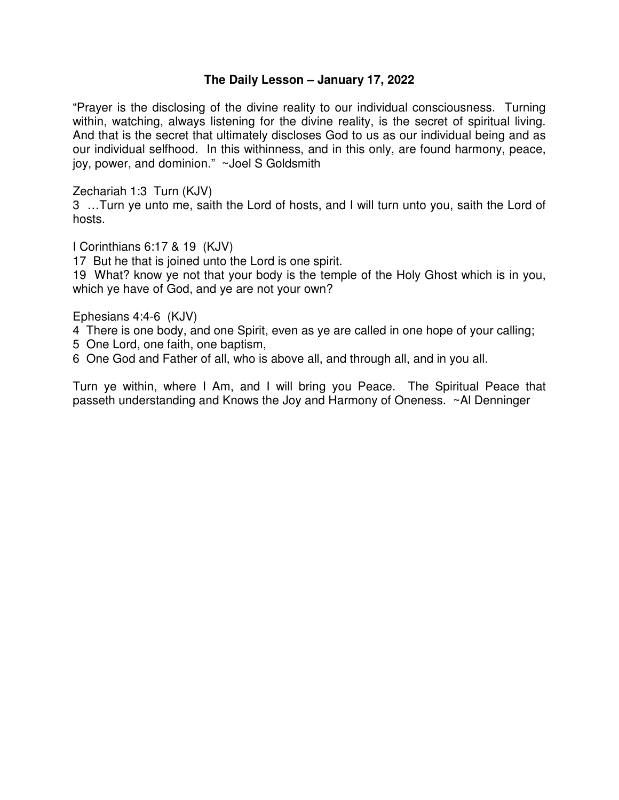## **The Daily Lesson – January 17, 2022**

"Prayer is the disclosing of the divine reality to our individual consciousness. Turning within, watching, always listening for the divine reality, is the secret of spiritual living. And that is the secret that ultimately discloses God to us as our individual being and as our individual selfhood. In this withinness, and in this only, are found harmony, peace, joy, power, and dominion." ~Joel S Goldsmith

Zechariah 1:3 Turn (KJV)

3 …Turn ye unto me, saith the Lord of hosts, and I will turn unto you, saith the Lord of hosts.

I Corinthians 6:17 & 19 (KJV)

17 But he that is joined unto the Lord is one spirit.

19 What? know ye not that your body is the temple of the Holy Ghost which is in you, which ye have of God, and ye are not your own?

Ephesians 4:4-6 (KJV)

- 4 There is one body, and one Spirit, even as ye are called in one hope of your calling;
- 5 One Lord, one faith, one baptism,
- 6 One God and Father of all, who is above all, and through all, and in you all.

Turn ye within, where I Am, and I will bring you Peace. The Spiritual Peace that passeth understanding and Knows the Joy and Harmony of Oneness. ~Al Denninger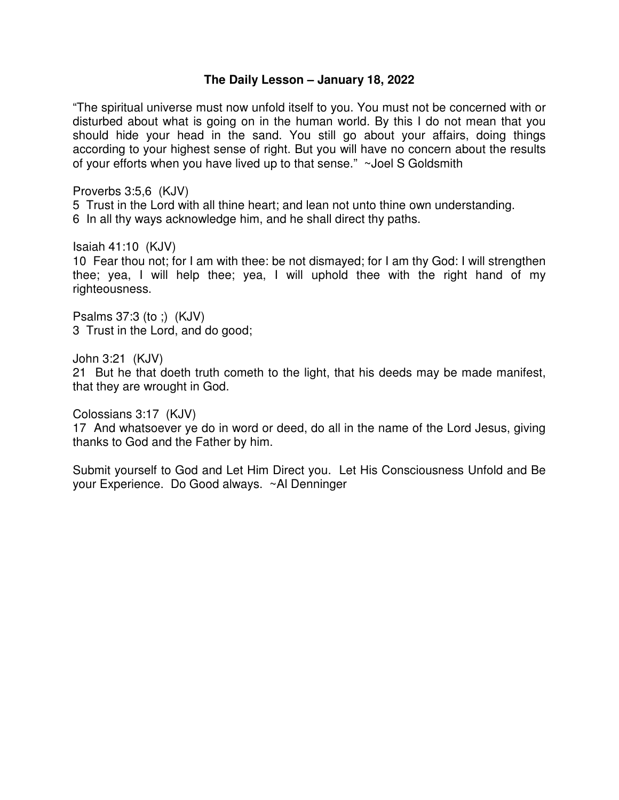#### **The Daily Lesson – January 18, 2022**

"The spiritual universe must now unfold itself to you. You must not be concerned with or disturbed about what is going on in the human world. By this I do not mean that you should hide your head in the sand. You still go about your affairs, doing things according to your highest sense of right. But you will have no concern about the results of your efforts when you have lived up to that sense." ~Joel S Goldsmith

Proverbs 3:5,6 (KJV)

5 Trust in the Lord with all thine heart; and lean not unto thine own understanding.

6 In all thy ways acknowledge him, and he shall direct thy paths.

Isaiah 41:10 (KJV)

10 Fear thou not; for I am with thee: be not dismayed; for I am thy God: I will strengthen thee; yea, I will help thee; yea, I will uphold thee with the right hand of my righteousness.

Psalms 37:3 (to ;) (KJV) 3 Trust in the Lord, and do good;

John 3:21 (KJV)

21 But he that doeth truth cometh to the light, that his deeds may be made manifest, that they are wrought in God.

Colossians 3:17 (KJV)

17 And whatsoever ye do in word or deed, do all in the name of the Lord Jesus, giving thanks to God and the Father by him.

Submit yourself to God and Let Him Direct you. Let His Consciousness Unfold and Be your Experience. Do Good always. ~Al Denninger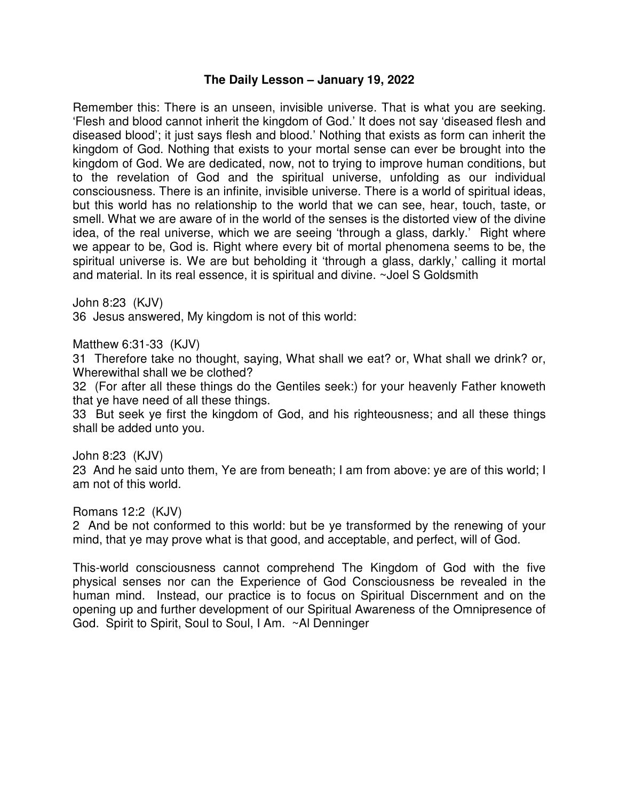#### **The Daily Lesson – January 19, 2022**

Remember this: There is an unseen, invisible universe. That is what you are seeking. 'Flesh and blood cannot inherit the kingdom of God.' It does not say 'diseased flesh and diseased blood'; it just says flesh and blood.' Nothing that exists as form can inherit the kingdom of God. Nothing that exists to your mortal sense can ever be brought into the kingdom of God. We are dedicated, now, not to trying to improve human conditions, but to the revelation of God and the spiritual universe, unfolding as our individual consciousness. There is an infinite, invisible universe. There is a world of spiritual ideas, but this world has no relationship to the world that we can see, hear, touch, taste, or smell. What we are aware of in the world of the senses is the distorted view of the divine idea, of the real universe, which we are seeing 'through a glass, darkly.' Right where we appear to be, God is. Right where every bit of mortal phenomena seems to be, the spiritual universe is. We are but beholding it 'through a glass, darkly,' calling it mortal and material. In its real essence, it is spiritual and divine. ~Joel S Goldsmith

John 8:23 (KJV)

36 Jesus answered, My kingdom is not of this world:

Matthew 6:31-33 (KJV)

31 Therefore take no thought, saying, What shall we eat? or, What shall we drink? or, Wherewithal shall we be clothed?

32 (For after all these things do the Gentiles seek:) for your heavenly Father knoweth that ye have need of all these things.

33 But seek ye first the kingdom of God, and his righteousness; and all these things shall be added unto you.

John 8:23 (KJV)

23 And he said unto them, Ye are from beneath; I am from above: ye are of this world; I am not of this world.

Romans 12:2 (KJV)

2 And be not conformed to this world: but be ye transformed by the renewing of your mind, that ye may prove what is that good, and acceptable, and perfect, will of God.

This-world consciousness cannot comprehend The Kingdom of God with the five physical senses nor can the Experience of God Consciousness be revealed in the human mind. Instead, our practice is to focus on Spiritual Discernment and on the opening up and further development of our Spiritual Awareness of the Omnipresence of God. Spirit to Spirit, Soul to Soul, I Am. ~Al Denninger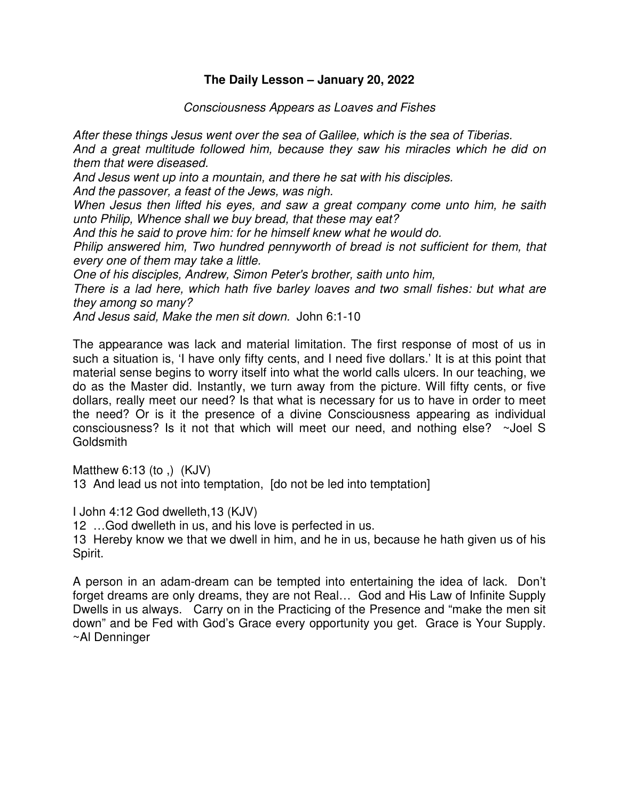# **The Daily Lesson – January 20, 2022**

*Consciousness Appears as Loaves and Fishes* 

*After these things Jesus went over the sea of Galilee, which is the sea of Tiberias. And a great multitude followed him, because they saw his miracles which he did on them that were diseased. And Jesus went up into a mountain, and there he sat with his disciples.* 

*And the passover, a feast of the Jews, was nigh.* 

*When Jesus then lifted his eyes, and saw a great company come unto him, he saith unto Philip, Whence shall we buy bread, that these may eat?* 

*And this he said to prove him: for he himself knew what he would do.* 

*Philip answered him, Two hundred pennyworth of bread is not sufficient for them, that every one of them may take a little.* 

*One of his disciples, Andrew, Simon Peter's brother, saith unto him,* 

*There is a lad here, which hath five barley loaves and two small fishes: but what are they among so many?* 

*And Jesus said, Make the men sit down.* John 6:1-10

The appearance was lack and material limitation. The first response of most of us in such a situation is, 'I have only fifty cents, and I need five dollars.' It is at this point that material sense begins to worry itself into what the world calls ulcers. In our teaching, we do as the Master did. Instantly, we turn away from the picture. Will fifty cents, or five dollars, really meet our need? Is that what is necessary for us to have in order to meet the need? Or is it the presence of a divine Consciousness appearing as individual consciousness? Is it not that which will meet our need, and nothing else? ~Joel S Goldsmith

Matthew 6:13 (to .)  $(KJV)$ 

13 And lead us not into temptation, [do not be led into temptation]

I John 4:12 God dwelleth,13 (KJV)

12 …God dwelleth in us, and his love is perfected in us.

13 Hereby know we that we dwell in him, and he in us, because he hath given us of his Spirit.

A person in an adam-dream can be tempted into entertaining the idea of lack. Don't forget dreams are only dreams, they are not Real… God and His Law of Infinite Supply Dwells in us always. Carry on in the Practicing of the Presence and "make the men sit down" and be Fed with God's Grace every opportunity you get. Grace is Your Supply. ~Al Denninger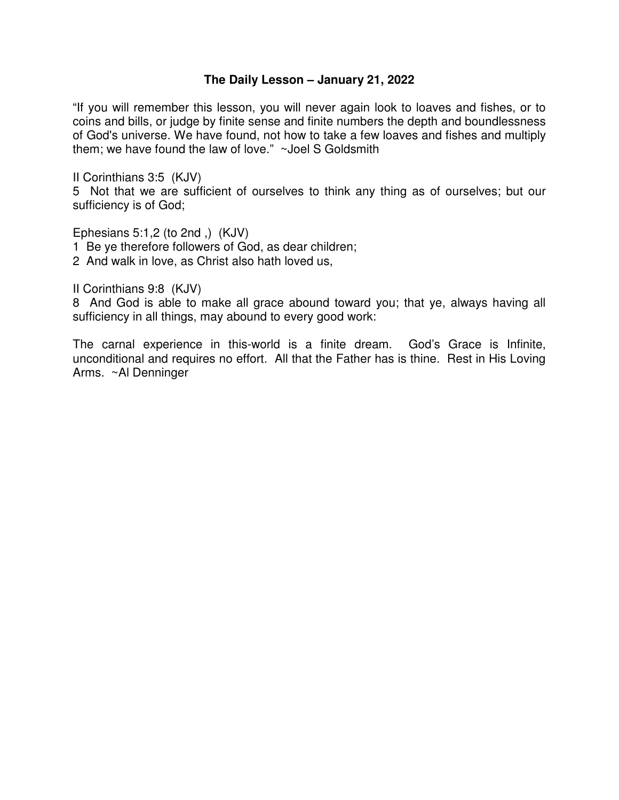#### **The Daily Lesson – January 21, 2022**

"If you will remember this lesson, you will never again look to loaves and fishes, or to coins and bills, or judge by finite sense and finite numbers the depth and boundlessness of God's universe. We have found, not how to take a few loaves and fishes and multiply them; we have found the law of love." ~Joel S Goldsmith

II Corinthians 3:5 (KJV)

5 Not that we are sufficient of ourselves to think any thing as of ourselves; but our sufficiency is of God:

Ephesians 5:1,2 (to 2nd ,) (KJV)

1 Be ye therefore followers of God, as dear children;

2 And walk in love, as Christ also hath loved us,

II Corinthians 9:8 (KJV)

8 And God is able to make all grace abound toward you; that ye, always having all sufficiency in all things, may abound to every good work:

The carnal experience in this-world is a finite dream. God's Grace is Infinite, unconditional and requires no effort. All that the Father has is thine. Rest in His Loving Arms. ~Al Denninger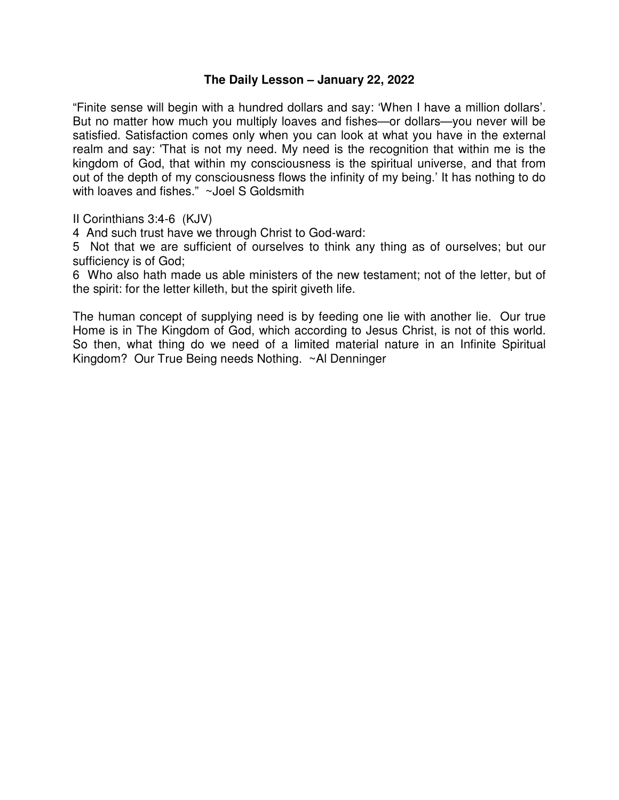## **The Daily Lesson – January 22, 2022**

"Finite sense will begin with a hundred dollars and say: 'When I have a million dollars'. But no matter how much you multiply loaves and fishes—or dollars—you never will be satisfied. Satisfaction comes only when you can look at what you have in the external realm and say: 'That is not my need. My need is the recognition that within me is the kingdom of God, that within my consciousness is the spiritual universe, and that from out of the depth of my consciousness flows the infinity of my being.' It has nothing to do with loaves and fishes." ~Joel S Goldsmith

II Corinthians 3:4-6 (KJV)

4 And such trust have we through Christ to God-ward:

5 Not that we are sufficient of ourselves to think any thing as of ourselves; but our sufficiency is of God;

6 Who also hath made us able ministers of the new testament; not of the letter, but of the spirit: for the letter killeth, but the spirit giveth life.

The human concept of supplying need is by feeding one lie with another lie. Our true Home is in The Kingdom of God, which according to Jesus Christ, is not of this world. So then, what thing do we need of a limited material nature in an Infinite Spiritual Kingdom? Our True Being needs Nothing. ~Al Denninger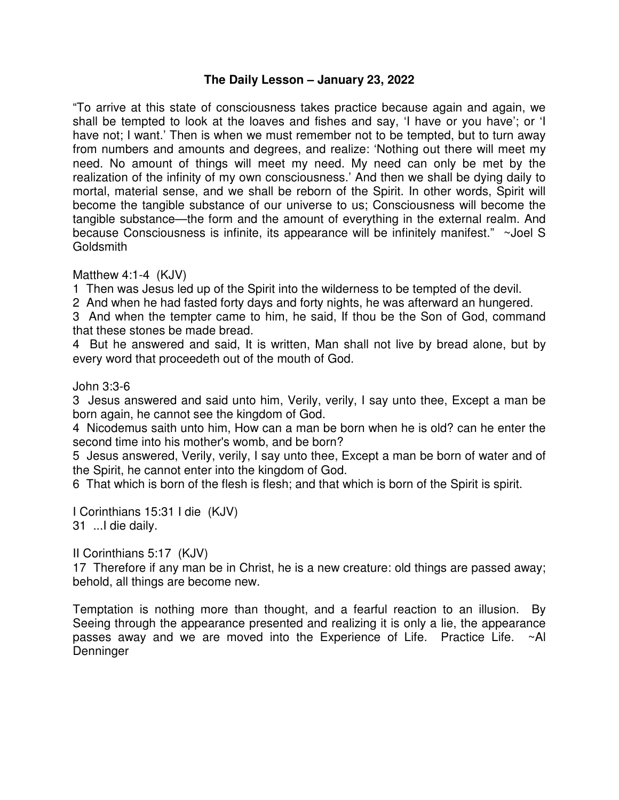## **The Daily Lesson – January 23, 2022**

"To arrive at this state of consciousness takes practice because again and again, we shall be tempted to look at the loaves and fishes and say, 'I have or you have'; or 'I have not; I want.' Then is when we must remember not to be tempted, but to turn away from numbers and amounts and degrees, and realize: 'Nothing out there will meet my need. No amount of things will meet my need. My need can only be met by the realization of the infinity of my own consciousness.' And then we shall be dying daily to mortal, material sense, and we shall be reborn of the Spirit. In other words, Spirit will become the tangible substance of our universe to us; Consciousness will become the tangible substance—the form and the amount of everything in the external realm. And because Consciousness is infinite, its appearance will be infinitely manifest." ~Joel S Goldsmith

Matthew 4:1-4 (KJV)

1 Then was Jesus led up of the Spirit into the wilderness to be tempted of the devil.

2 And when he had fasted forty days and forty nights, he was afterward an hungered.

3 And when the tempter came to him, he said, If thou be the Son of God, command that these stones be made bread.

4 But he answered and said, It is written, Man shall not live by bread alone, but by every word that proceedeth out of the mouth of God.

#### John 3:3-6

3 Jesus answered and said unto him, Verily, verily, I say unto thee, Except a man be born again, he cannot see the kingdom of God.

4 Nicodemus saith unto him, How can a man be born when he is old? can he enter the second time into his mother's womb, and be born?

5 Jesus answered, Verily, verily, I say unto thee, Except a man be born of water and of the Spirit, he cannot enter into the kingdom of God.

6 That which is born of the flesh is flesh; and that which is born of the Spirit is spirit.

I Corinthians 15:31 I die (KJV) 31 ...I die daily.

II Corinthians 5:17 (KJV)

17 Therefore if any man be in Christ, he is a new creature: old things are passed away; behold, all things are become new.

Temptation is nothing more than thought, and a fearful reaction to an illusion. By Seeing through the appearance presented and realizing it is only a lie, the appearance passes away and we are moved into the Experience of Life. Practice Life. ~Al **Denninger**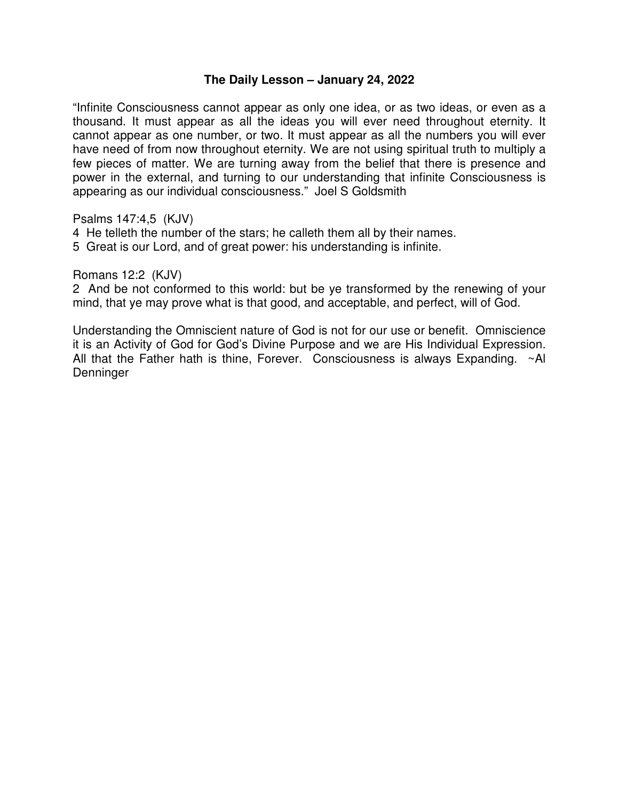## **The Daily Lesson – January 24, 2022**

"Infinite Consciousness cannot appear as only one idea, or as two ideas, or even as a thousand. It must appear as all the ideas you will ever need throughout eternity. It cannot appear as one number, or two. It must appear as all the numbers you will ever have need of from now throughout eternity. We are not using spiritual truth to multiply a few pieces of matter. We are turning away from the belief that there is presence and power in the external, and turning to our understanding that infinite Consciousness is appearing as our individual consciousness." Joel S Goldsmith

Psalms 147:4,5 (KJV)

- 4 He telleth the number of the stars; he calleth them all by their names.
- 5 Great is our Lord, and of great power: his understanding is infinite.

Romans 12:2 (KJV)

2 And be not conformed to this world: but be ye transformed by the renewing of your mind, that ye may prove what is that good, and acceptable, and perfect, will of God.

Understanding the Omniscient nature of God is not for our use or benefit. Omniscience it is an Activity of God for God's Divine Purpose and we are His Individual Expression. All that the Father hath is thine, Forever. Consciousness is always Expanding. ~Al **Denninger**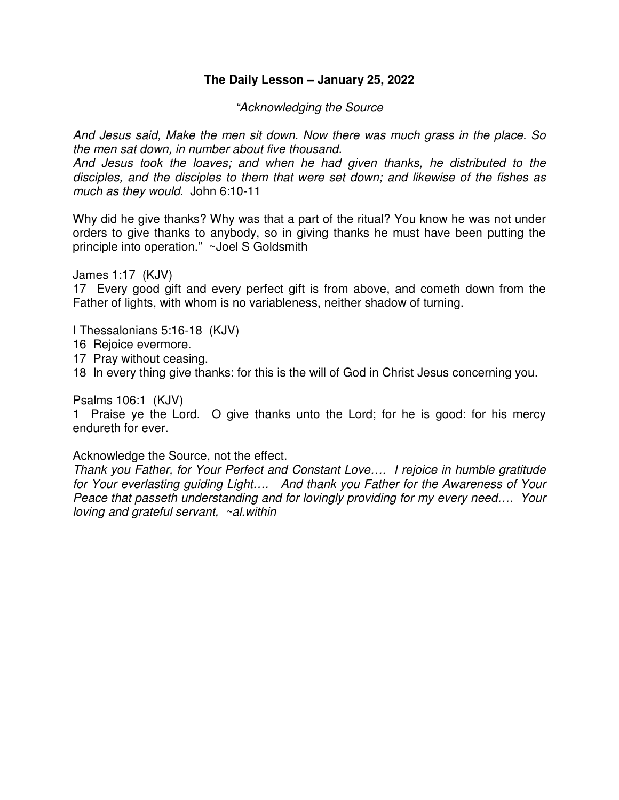## **The Daily Lesson – January 25, 2022**

*"Acknowledging the Source* 

*And Jesus said, Make the men sit down. Now there was much grass in the place. So the men sat down, in number about five thousand.* 

*And Jesus took the loaves; and when he had given thanks, he distributed to the disciples, and the disciples to them that were set down; and likewise of the fishes as much as they would.* John 6:10-11

Why did he give thanks? Why was that a part of the ritual? You know he was not under orders to give thanks to anybody, so in giving thanks he must have been putting the principle into operation." ~Joel S Goldsmith

James 1:17 (KJV)

17 Every good gift and every perfect gift is from above, and cometh down from the Father of lights, with whom is no variableness, neither shadow of turning.

I Thessalonians 5:16-18 (KJV)

16 Rejoice evermore.

17 Pray without ceasing.

18 In every thing give thanks: for this is the will of God in Christ Jesus concerning you.

Psalms 106:1 (KJV)

1 Praise ye the Lord. O give thanks unto the Lord; for he is good: for his mercy endureth for ever.

Acknowledge the Source, not the effect.

*Thank you Father, for Your Perfect and Constant Love…. I rejoice in humble gratitude for Your everlasting guiding Light…. And thank you Father for the Awareness of Your Peace that passeth understanding and for lovingly providing for my every need…. Your loving and grateful servant, ~al.within*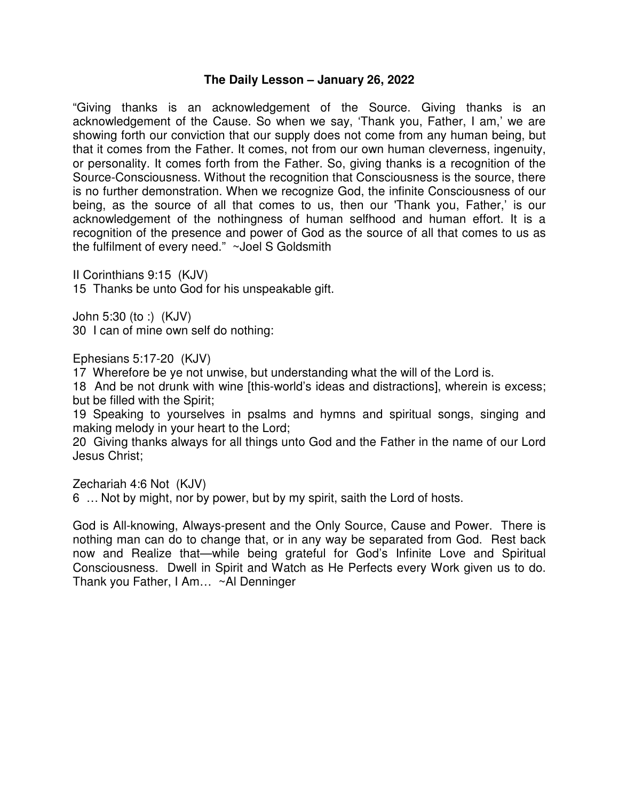#### **The Daily Lesson – January 26, 2022**

"Giving thanks is an acknowledgement of the Source. Giving thanks is an acknowledgement of the Cause. So when we say, 'Thank you, Father, I am,' we are showing forth our conviction that our supply does not come from any human being, but that it comes from the Father. It comes, not from our own human cleverness, ingenuity, or personality. It comes forth from the Father. So, giving thanks is a recognition of the Source-Consciousness. Without the recognition that Consciousness is the source, there is no further demonstration. When we recognize God, the infinite Consciousness of our being, as the source of all that comes to us, then our 'Thank you, Father,' is our acknowledgement of the nothingness of human selfhood and human effort. It is a recognition of the presence and power of God as the source of all that comes to us as the fulfilment of every need." ~Joel S Goldsmith

II Corinthians 9:15 (KJV)

15 Thanks be unto God for his unspeakable gift.

John 5:30 (to :) (KJV) 30 I can of mine own self do nothing:

Ephesians 5:17-20 (KJV)

17 Wherefore be ye not unwise, but understanding what the will of the Lord is.

18 And be not drunk with wine [this-world's ideas and distractions], wherein is excess; but be filled with the Spirit;

19 Speaking to yourselves in psalms and hymns and spiritual songs, singing and making melody in your heart to the Lord;

20 Giving thanks always for all things unto God and the Father in the name of our Lord Jesus Christ;

Zechariah 4:6 Not (KJV)

6 … Not by might, nor by power, but by my spirit, saith the Lord of hosts.

God is All-knowing, Always-present and the Only Source, Cause and Power. There is nothing man can do to change that, or in any way be separated from God. Rest back now and Realize that—while being grateful for God's Infinite Love and Spiritual Consciousness. Dwell in Spirit and Watch as He Perfects every Work given us to do. Thank you Father, I Am… ~Al Denninger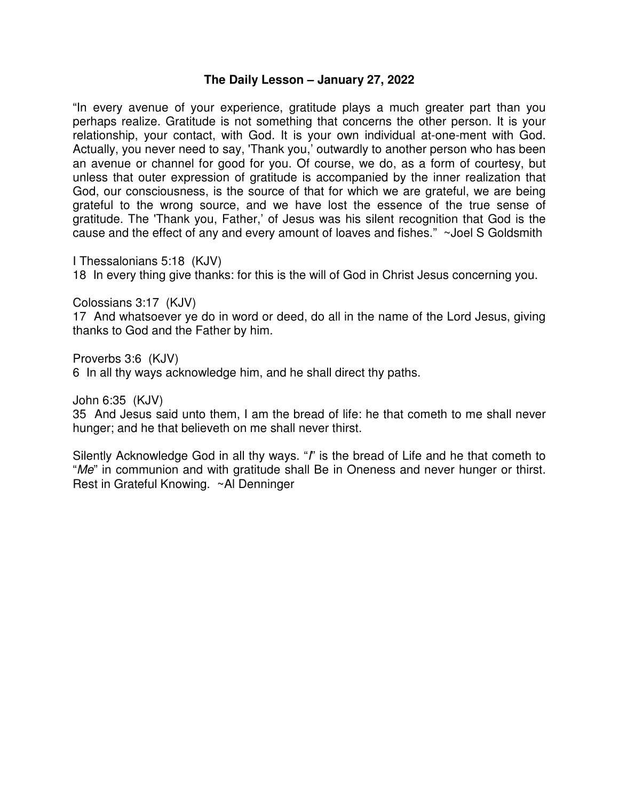#### **The Daily Lesson – January 27, 2022**

"In every avenue of your experience, gratitude plays a much greater part than you perhaps realize. Gratitude is not something that concerns the other person. It is your relationship, your contact, with God. It is your own individual at-one-ment with God. Actually, you never need to say, 'Thank you,' outwardly to another person who has been an avenue or channel for good for you. Of course, we do, as a form of courtesy, but unless that outer expression of gratitude is accompanied by the inner realization that God, our consciousness, is the source of that for which we are grateful, we are being grateful to the wrong source, and we have lost the essence of the true sense of gratitude. The 'Thank you, Father,' of Jesus was his silent recognition that God is the cause and the effect of any and every amount of loaves and fishes." ~Joel S Goldsmith

I Thessalonians 5:18 (KJV)

18 In every thing give thanks: for this is the will of God in Christ Jesus concerning you.

Colossians 3:17 (KJV)

17 And whatsoever ye do in word or deed, do all in the name of the Lord Jesus, giving thanks to God and the Father by him.

Proverbs 3:6 (KJV)

6 In all thy ways acknowledge him, and he shall direct thy paths.

John 6:35 (KJV)

35 And Jesus said unto them, I am the bread of life: he that cometh to me shall never hunger; and he that believeth on me shall never thirst.

Silently Acknowledge God in all thy ways. "*I*" is the bread of Life and he that cometh to "*Me*" in communion and with gratitude shall Be in Oneness and never hunger or thirst. Rest in Grateful Knowing. ~Al Denninger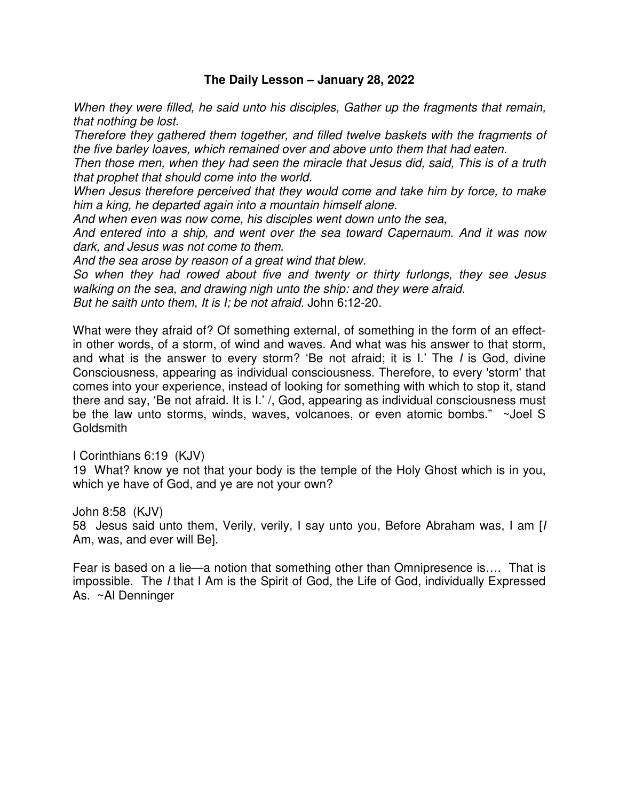#### **The Daily Lesson – January 28, 2022**

*When they were filled, he said unto his disciples, Gather up the fragments that remain, that nothing be lost.* 

*Therefore they gathered them together, and filled twelve baskets with the fragments of the five barley loaves, which remained over and above unto them that had eaten.* 

*Then those men, when they had seen the miracle that Jesus did, said, This is of a truth that prophet that should come into the world.* 

*When Jesus therefore perceived that they would come and take him by force, to make him a king, he departed again into a mountain himself alone.* 

*And when even was now come, his disciples went down unto the sea,* 

*And entered into a ship, and went over the sea toward Capernaum. And it was now dark, and Jesus was not come to them.* 

*And the sea arose by reason of a great wind that blew.* 

*So when they had rowed about five and twenty or thirty furlongs, they see Jesus walking on the sea, and drawing nigh unto the ship: and they were afraid. But he saith unto them, It is I; be not afraid.* John 6:12-20.

What were they afraid of? Of something external, of something in the form of an effectin other words, of a storm, of wind and waves. And what was his answer to that storm, and what is the answer to every storm? 'Be not afraid; it is I.' The *I* is God, divine Consciousness, appearing as individual consciousness. Therefore, to every 'storm' that comes into your experience, instead of looking for something with which to stop it, stand there and say, 'Be not afraid. It is I.' /, God, appearing as individual consciousness must be the law unto storms, winds, waves, volcanoes, or even atomic bombs." ~Joel S **Goldsmith** 

I Corinthians 6:19 (KJV)

19 What? know ye not that your body is the temple of the Holy Ghost which is in you, which ye have of God, and ye are not your own?

John 8:58 (KJV)

58 Jesus said unto them, Verily, verily, I say unto you, Before Abraham was, I am [*I* Am, was, and ever will Be].

Fear is based on a lie—a notion that something other than Omnipresence is…. That is impossible. The *I* that I Am is the Spirit of God, the Life of God, individually Expressed As. ~Al Denninger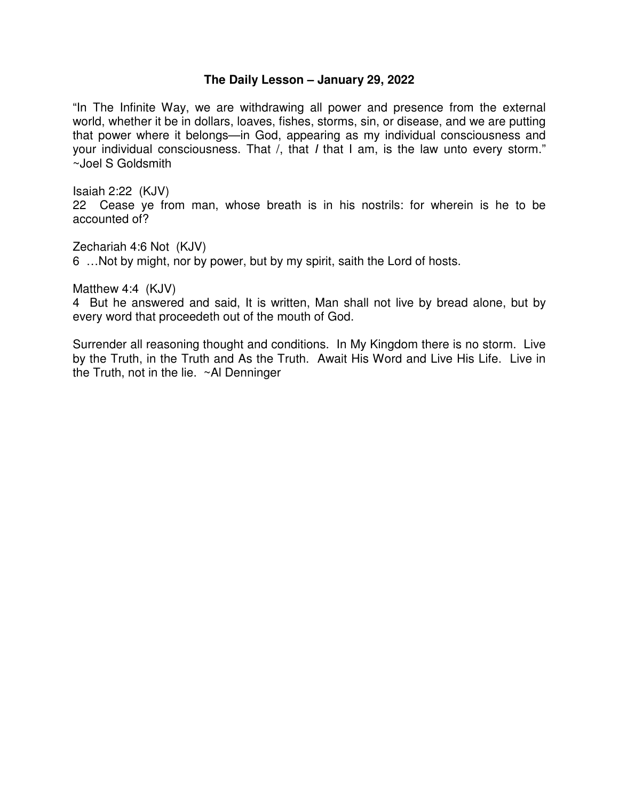#### **The Daily Lesson – January 29, 2022**

"In The Infinite Way, we are withdrawing all power and presence from the external world, whether it be in dollars, loaves, fishes, storms, sin, or disease, and we are putting that power where it belongs—in God, appearing as my individual consciousness and your individual consciousness. That /, that *I* that I am, is the law unto every storm." ~Joel S Goldsmith

Isaiah 2:22 (KJV) 22 Cease ye from man, whose breath is in his nostrils: for wherein is he to be accounted of?

Zechariah 4:6 Not (KJV) 6 …Not by might, nor by power, but by my spirit, saith the Lord of hosts.

Matthew 4:4 (KJV)

4 But he answered and said, It is written, Man shall not live by bread alone, but by every word that proceedeth out of the mouth of God.

Surrender all reasoning thought and conditions. In My Kingdom there is no storm. Live by the Truth, in the Truth and As the Truth. Await His Word and Live His Life. Live in the Truth, not in the lie. ~Al Denninger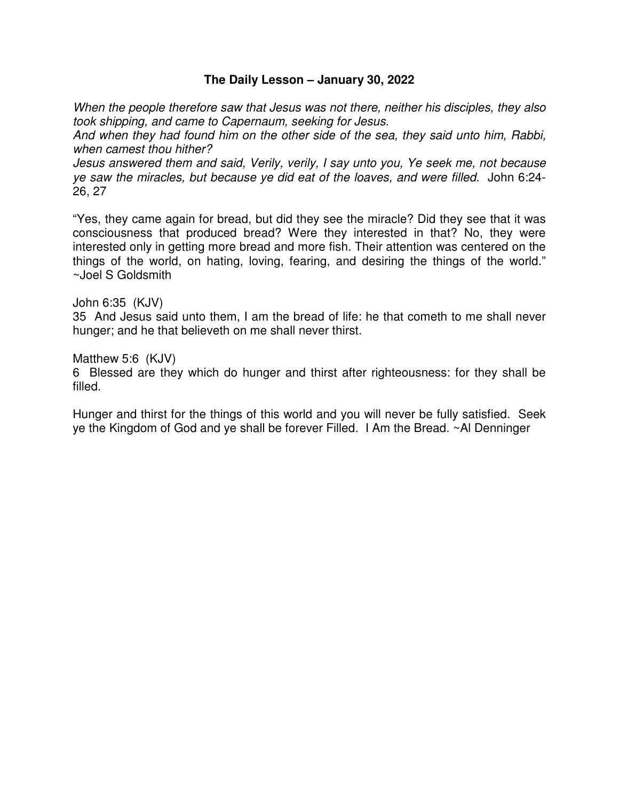## **The Daily Lesson – January 30, 2022**

*When the people therefore saw that Jesus was not there, neither his disciples, they also took shipping, and came to Capernaum, seeking for Jesus.* 

*And when they had found him on the other side of the sea, they said unto him, Rabbi, when camest thou hither?* 

*Jesus answered them and said, Verily, verily, I say unto you, Ye seek me, not because ye saw the miracles, but because ye did eat of the loaves, and were filled*. John 6:24- 26, 27

"Yes, they came again for bread, but did they see the miracle? Did they see that it was consciousness that produced bread? Were they interested in that? No, they were interested only in getting more bread and more fish. Their attention was centered on the things of the world, on hating, loving, fearing, and desiring the things of the world." ~Joel S Goldsmith

John 6:35 (KJV)

35 And Jesus said unto them, I am the bread of life: he that cometh to me shall never hunger; and he that believeth on me shall never thirst.

Matthew 5:6 (KJV)

6 Blessed are they which do hunger and thirst after righteousness: for they shall be filled.

Hunger and thirst for the things of this world and you will never be fully satisfied. Seek ye the Kingdom of God and ye shall be forever Filled. I Am the Bread. ~Al Denninger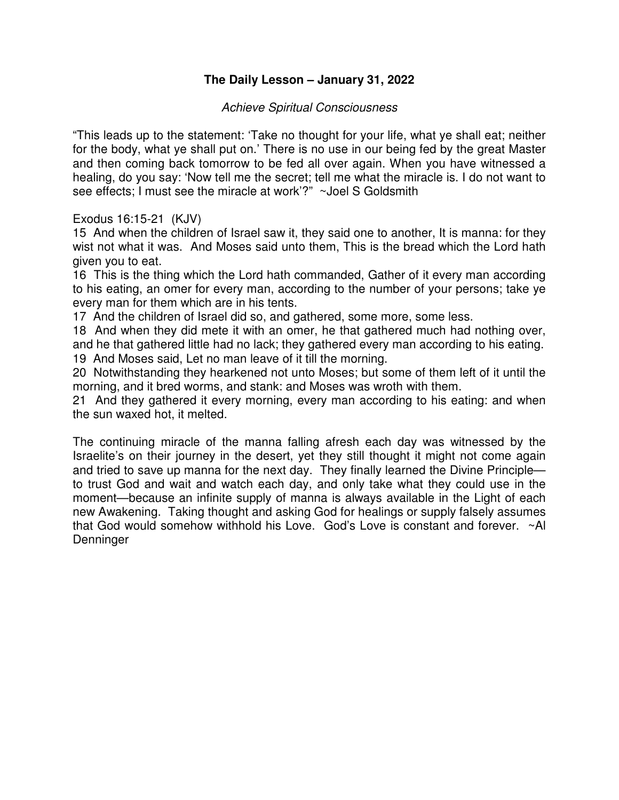# **The Daily Lesson – January 31, 2022**

## *Achieve Spiritual Consciousness*

"This leads up to the statement: 'Take no thought for your life, what ye shall eat; neither for the body, what ye shall put on.' There is no use in our being fed by the great Master and then coming back tomorrow to be fed all over again. When you have witnessed a healing, do you say: 'Now tell me the secret; tell me what the miracle is. I do not want to see effects; I must see the miracle at work'?" ~Joel S Goldsmith

Exodus 16:15-21 (KJV)

15 And when the children of Israel saw it, they said one to another, It is manna: for they wist not what it was. And Moses said unto them, This is the bread which the Lord hath given you to eat.

16 This is the thing which the Lord hath commanded, Gather of it every man according to his eating, an omer for every man, according to the number of your persons; take ye every man for them which are in his tents.

17 And the children of Israel did so, and gathered, some more, some less.

18 And when they did mete it with an omer, he that gathered much had nothing over, and he that gathered little had no lack; they gathered every man according to his eating. 19 And Moses said, Let no man leave of it till the morning.

20 Notwithstanding they hearkened not unto Moses; but some of them left of it until the morning, and it bred worms, and stank: and Moses was wroth with them.

21 And they gathered it every morning, every man according to his eating: and when the sun waxed hot, it melted.

The continuing miracle of the manna falling afresh each day was witnessed by the Israelite's on their journey in the desert, yet they still thought it might not come again and tried to save up manna for the next day. They finally learned the Divine Principle to trust God and wait and watch each day, and only take what they could use in the moment—because an infinite supply of manna is always available in the Light of each new Awakening. Taking thought and asking God for healings or supply falsely assumes that God would somehow withhold his Love. God's Love is constant and forever. ~Al **Denninger**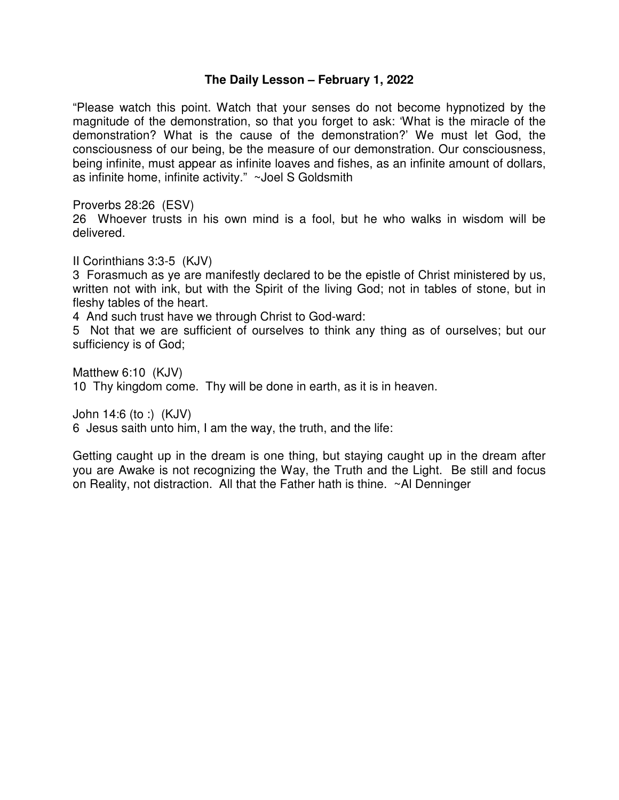#### **The Daily Lesson – February 1, 2022**

"Please watch this point. Watch that your senses do not become hypnotized by the magnitude of the demonstration, so that you forget to ask: 'What is the miracle of the demonstration? What is the cause of the demonstration?' We must let God, the consciousness of our being, be the measure of our demonstration. Our consciousness, being infinite, must appear as infinite loaves and fishes, as an infinite amount of dollars, as infinite home, infinite activity." ~Joel S Goldsmith

Proverbs 28:26 (ESV)

26 Whoever trusts in his own mind is a fool, but he who walks in wisdom will be delivered.

II Corinthians 3:3-5 (KJV)

3 Forasmuch as ye are manifestly declared to be the epistle of Christ ministered by us, written not with ink, but with the Spirit of the living God; not in tables of stone, but in fleshy tables of the heart.

4 And such trust have we through Christ to God-ward:

5 Not that we are sufficient of ourselves to think any thing as of ourselves; but our sufficiency is of God;

Matthew 6:10 (KJV) 10 Thy kingdom come. Thy will be done in earth, as it is in heaven.

John 14:6 (to :) (KJV)

6 Jesus saith unto him, I am the way, the truth, and the life:

Getting caught up in the dream is one thing, but staying caught up in the dream after you are Awake is not recognizing the Way, the Truth and the Light. Be still and focus on Reality, not distraction. All that the Father hath is thine. ~Al Denninger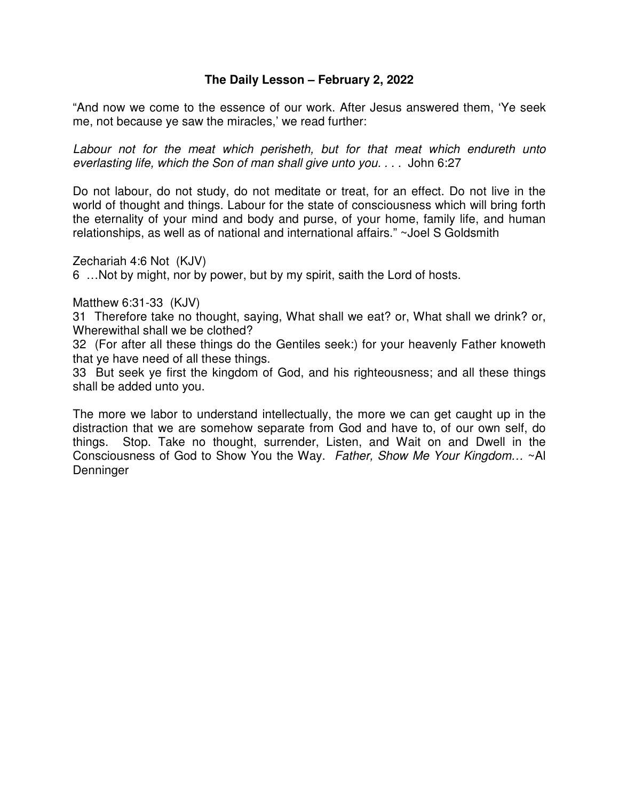## **The Daily Lesson – February 2, 2022**

"And now we come to the essence of our work. After Jesus answered them, 'Ye seek me, not because ye saw the miracles,' we read further:

Labour not for the meat which perisheth, but for that meat which endureth unto *everlasting life, which the Son of man shall give unto you. . . .* John 6:27

Do not labour, do not study, do not meditate or treat, for an effect. Do not live in the world of thought and things. Labour for the state of consciousness which will bring forth the eternality of your mind and body and purse, of your home, family life, and human relationships, as well as of national and international affairs." ~Joel S Goldsmith

Zechariah 4:6 Not (KJV)

6 …Not by might, nor by power, but by my spirit, saith the Lord of hosts.

Matthew 6:31-33 (KJV)

31 Therefore take no thought, saying, What shall we eat? or, What shall we drink? or, Wherewithal shall we be clothed?

32 (For after all these things do the Gentiles seek:) for your heavenly Father knoweth that ye have need of all these things.

33 But seek ye first the kingdom of God, and his righteousness; and all these things shall be added unto you.

The more we labor to understand intellectually, the more we can get caught up in the distraction that we are somehow separate from God and have to, of our own self, do things. Stop. Take no thought, surrender, Listen, and Wait on and Dwell in the Consciousness of God to Show You the Way. *Father, Show Me Your Kingdom…* ~Al **Denninger**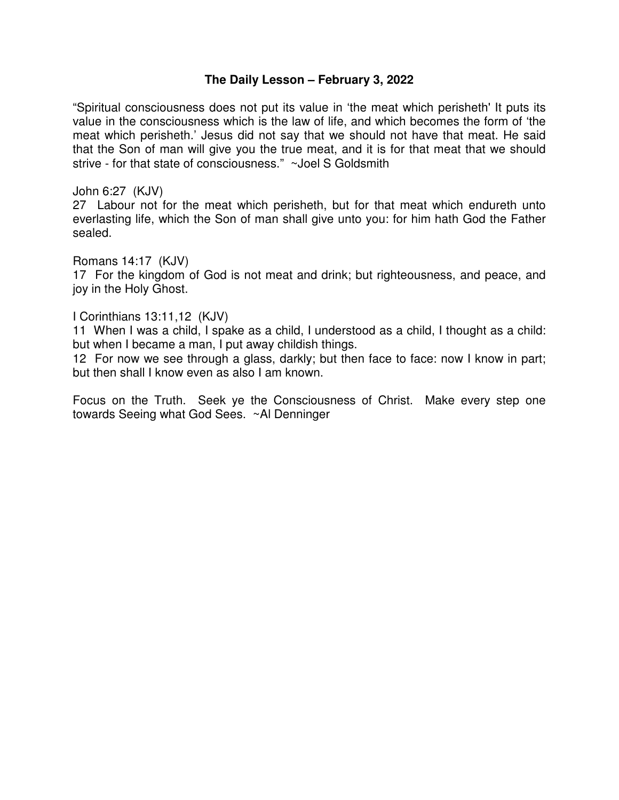#### **The Daily Lesson – February 3, 2022**

"Spiritual consciousness does not put its value in 'the meat which perisheth' It puts its value in the consciousness which is the law of life, and which becomes the form of 'the meat which perisheth.' Jesus did not say that we should not have that meat. He said that the Son of man will give you the true meat, and it is for that meat that we should strive - for that state of consciousness." ~Joel S Goldsmith

#### John 6:27 (KJV)

27 Labour not for the meat which perisheth, but for that meat which endureth unto everlasting life, which the Son of man shall give unto you: for him hath God the Father sealed.

#### Romans 14:17 (KJV)

17 For the kingdom of God is not meat and drink; but righteousness, and peace, and joy in the Holy Ghost.

#### I Corinthians 13:11,12 (KJV)

11 When I was a child, I spake as a child, I understood as a child, I thought as a child: but when I became a man, I put away childish things.

12 For now we see through a glass, darkly; but then face to face: now I know in part; but then shall I know even as also I am known.

Focus on the Truth. Seek ye the Consciousness of Christ. Make every step one towards Seeing what God Sees. ~Al Denninger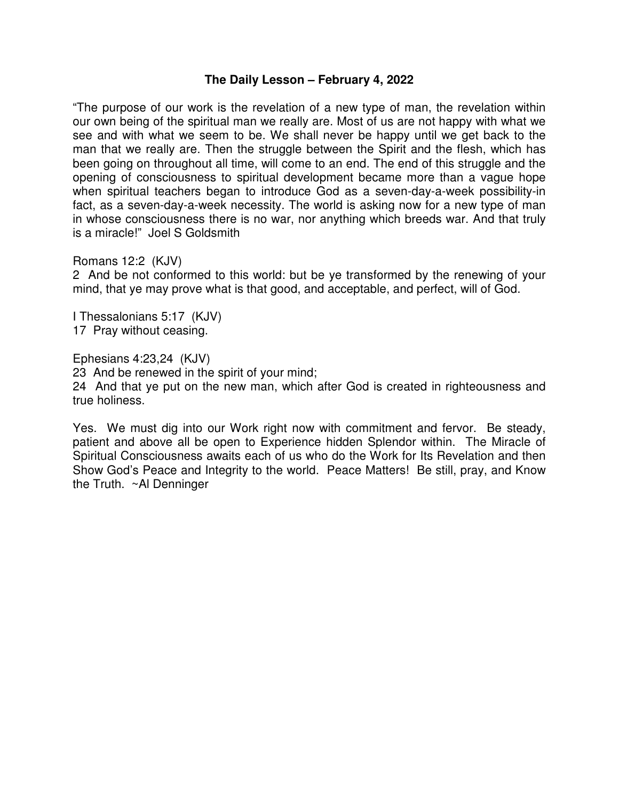#### **The Daily Lesson – February 4, 2022**

"The purpose of our work is the revelation of a new type of man, the revelation within our own being of the spiritual man we really are. Most of us are not happy with what we see and with what we seem to be. We shall never be happy until we get back to the man that we really are. Then the struggle between the Spirit and the flesh, which has been going on throughout all time, will come to an end. The end of this struggle and the opening of consciousness to spiritual development became more than a vague hope when spiritual teachers began to introduce God as a seven-day-a-week possibility-in fact, as a seven-day-a-week necessity. The world is asking now for a new type of man in whose consciousness there is no war, nor anything which breeds war. And that truly is a miracle!" Joel S Goldsmith

Romans 12:2 (KJV)

2 And be not conformed to this world: but be ye transformed by the renewing of your mind, that ye may prove what is that good, and acceptable, and perfect, will of God.

I Thessalonians 5:17 (KJV) 17 Pray without ceasing.

Ephesians 4:23,24 (KJV)

23 And be renewed in the spirit of your mind;

24 And that ye put on the new man, which after God is created in righteousness and true holiness.

Yes. We must dig into our Work right now with commitment and fervor. Be steady, patient and above all be open to Experience hidden Splendor within. The Miracle of Spiritual Consciousness awaits each of us who do the Work for Its Revelation and then Show God's Peace and Integrity to the world. Peace Matters! Be still, pray, and Know the Truth. ~Al Denninger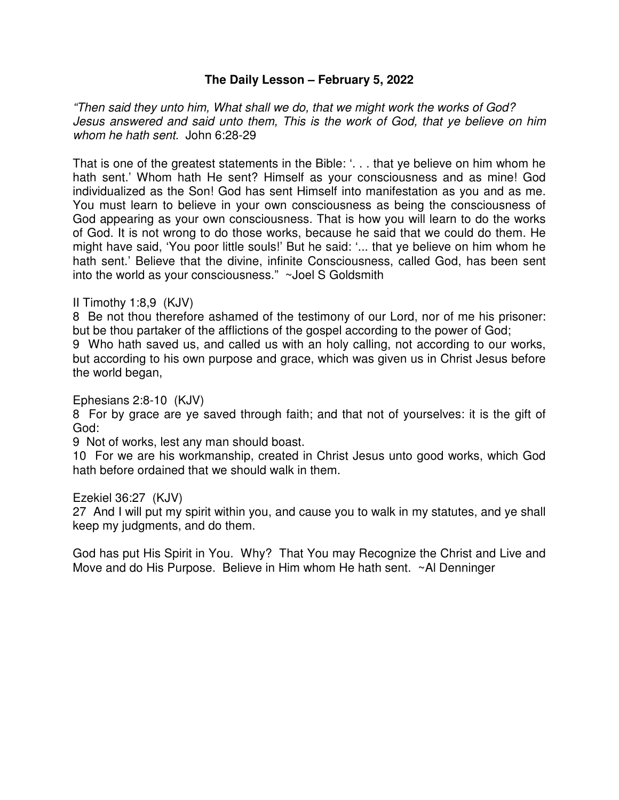## **The Daily Lesson – February 5, 2022**

*"Then said they unto him, What shall we do, that we might work the works of God? Jesus answered and said unto them, This is the work of God, that ye believe on him whom he hath sent.* John 6:28-29

That is one of the greatest statements in the Bible: '. . . that ye believe on him whom he hath sent.' Whom hath He sent? Himself as your consciousness and as mine! God individualized as the Son! God has sent Himself into manifestation as you and as me. You must learn to believe in your own consciousness as being the consciousness of God appearing as your own consciousness. That is how you will learn to do the works of God. It is not wrong to do those works, because he said that we could do them. He might have said, 'You poor little souls!' But he said: '... that ye believe on him whom he hath sent.' Believe that the divine, infinite Consciousness, called God, has been sent into the world as your consciousness." ~Joel S Goldsmith

## II Timothy 1:8,9 (KJV)

8 Be not thou therefore ashamed of the testimony of our Lord, nor of me his prisoner: but be thou partaker of the afflictions of the gospel according to the power of God;

9 Who hath saved us, and called us with an holy calling, not according to our works, but according to his own purpose and grace, which was given us in Christ Jesus before the world began,

#### Ephesians 2:8-10 (KJV)

8 For by grace are ye saved through faith; and that not of yourselves: it is the gift of God:

9 Not of works, lest any man should boast.

10 For we are his workmanship, created in Christ Jesus unto good works, which God hath before ordained that we should walk in them.

#### Ezekiel 36:27 (KJV)

27 And I will put my spirit within you, and cause you to walk in my statutes, and ye shall keep my judgments, and do them.

God has put His Spirit in You. Why? That You may Recognize the Christ and Live and Move and do His Purpose. Believe in Him whom He hath sent. ~Al Denninger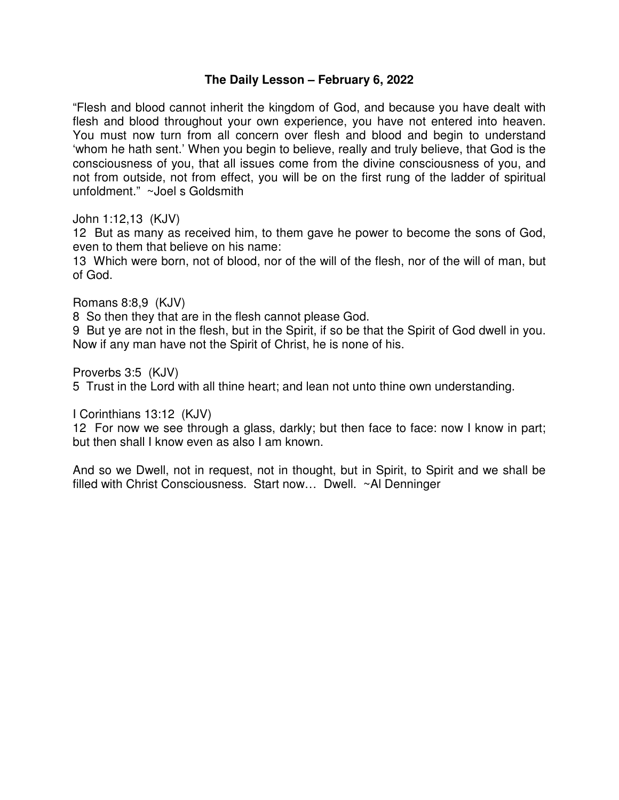## **The Daily Lesson – February 6, 2022**

"Flesh and blood cannot inherit the kingdom of God, and because you have dealt with flesh and blood throughout your own experience, you have not entered into heaven. You must now turn from all concern over flesh and blood and begin to understand 'whom he hath sent.' When you begin to believe, really and truly believe, that God is the consciousness of you, that all issues come from the divine consciousness of you, and not from outside, not from effect, you will be on the first rung of the ladder of spiritual unfoldment." ~Joel s Goldsmith

John 1:12,13 (KJV)

12 But as many as received him, to them gave he power to become the sons of God, even to them that believe on his name:

13 Which were born, not of blood, nor of the will of the flesh, nor of the will of man, but of God.

Romans 8:8,9 (KJV)

8 So then they that are in the flesh cannot please God.

9 But ye are not in the flesh, but in the Spirit, if so be that the Spirit of God dwell in you. Now if any man have not the Spirit of Christ, he is none of his.

Proverbs 3:5 (KJV)

5 Trust in the Lord with all thine heart; and lean not unto thine own understanding.

I Corinthians 13:12 (KJV)

12 For now we see through a glass, darkly; but then face to face: now I know in part; but then shall I know even as also I am known.

And so we Dwell, not in request, not in thought, but in Spirit, to Spirit and we shall be filled with Christ Consciousness. Start now… Dwell. ~Al Denninger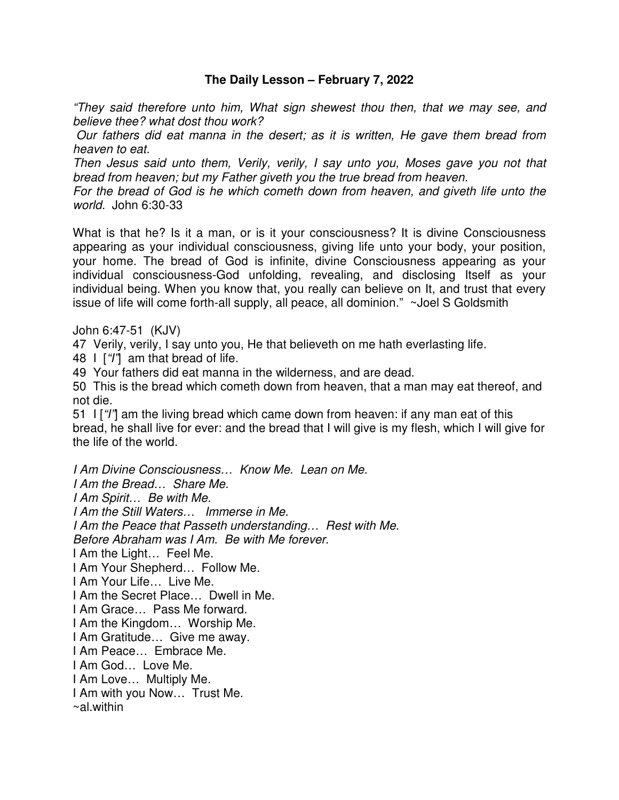# **The Daily Lesson – February 7, 2022**

*"They said therefore unto him, What sign shewest thou then, that we may see, and believe thee? what dost thou work?* 

 *Our fathers did eat manna in the desert; as it is written, He gave them bread from heaven to eat.* 

*Then Jesus said unto them, Verily, verily, I say unto you, Moses gave you not that bread from heaven; but my Father giveth you the true bread from heaven.* 

*For the bread of God is he which cometh down from heaven, and giveth life unto the world.* John 6:30-33

What is that he? Is it a man, or is it your consciousness? It is divine Consciousness appearing as your individual consciousness, giving life unto your body, your position, your home. The bread of God is infinite, divine Consciousness appearing as your individual consciousness-God unfolding, revealing, and disclosing Itself as your individual being. When you know that, you really can believe on It, and trust that every issue of life will come forth-all supply, all peace, all dominion." ~Joel S Goldsmith

John 6:47-51 (KJV)

47 Verily, verily, I say unto you, He that believeth on me hath everlasting life.

48 I [*"I"*] am that bread of life.

49 Your fathers did eat manna in the wilderness, and are dead.

50 This is the bread which cometh down from heaven, that a man may eat thereof, and not die.

51 I [*"I"*] am the living bread which came down from heaven: if any man eat of this bread, he shall live for ever: and the bread that I will give is my flesh, which I will give for the life of the world.

*I Am Divine Consciousness… Know Me. Lean on Me. I Am the Bread… Share Me. I Am Spirit… Be with Me. I Am the Still Waters… Immerse in Me. I Am the Peace that Passeth understanding… Rest with Me. Before Abraham was I Am. Be with Me forever.*  I Am the Light… Feel Me. I Am Your Shepherd… Follow Me. I Am Your Life… Live Me. I Am the Secret Place… Dwell in Me. I Am Grace… Pass Me forward. I Am the Kingdom… Worship Me. I Am Gratitude… Give me away. I Am Peace… Embrace Me. I Am God… Love Me. I Am Love… Multiply Me. I Am with you Now… Trust Me.  $\sim$ al.within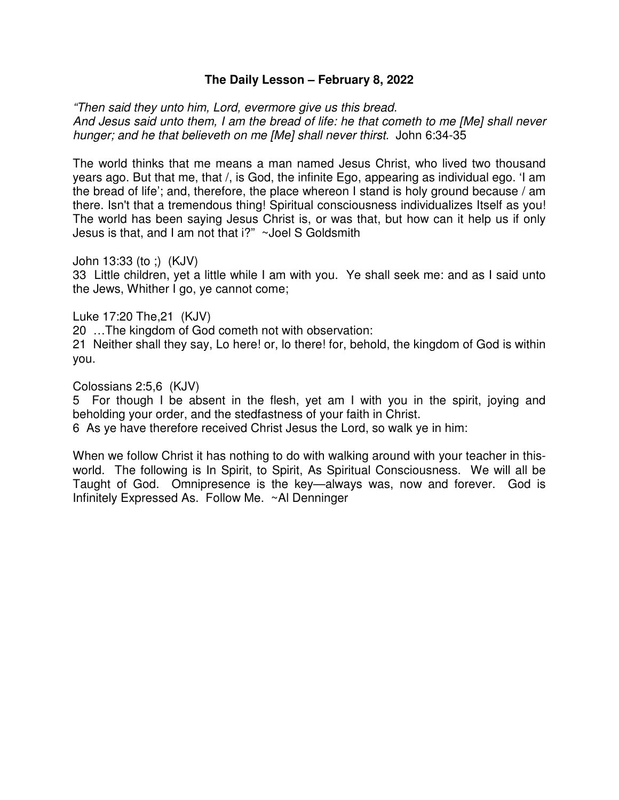#### **The Daily Lesson – February 8, 2022**

*"Then said they unto him, Lord, evermore give us this bread. And Jesus said unto them, I am the bread of life: he that cometh to me [Me] shall never hunger; and he that believeth on me [Me] shall never thirst.* John 6:34-35

The world thinks that me means a man named Jesus Christ, who lived two thousand years ago. But that me, that /, is God, the infinite Ego, appearing as individual ego. 'I am the bread of life'; and, therefore, the place whereon I stand is holy ground because / am there. Isn't that a tremendous thing! Spiritual consciousness individualizes Itself as you! The world has been saying Jesus Christ is, or was that, but how can it help us if only Jesus is that, and I am not that i?" ~Joel S Goldsmith

John 13:33 (to ;) (KJV)

33 Little children, yet a little while I am with you. Ye shall seek me: and as I said unto the Jews, Whither I go, ye cannot come;

Luke 17:20 The,21 (KJV)

20 …The kingdom of God cometh not with observation:

21 Neither shall they say, Lo here! or, lo there! for, behold, the kingdom of God is within you.

Colossians 2:5,6 (KJV)

5 For though I be absent in the flesh, yet am I with you in the spirit, joying and beholding your order, and the stedfastness of your faith in Christ.

6 As ye have therefore received Christ Jesus the Lord, so walk ye in him:

When we follow Christ it has nothing to do with walking around with your teacher in thisworld. The following is In Spirit, to Spirit, As Spiritual Consciousness. We will all be Taught of God. Omnipresence is the key—always was, now and forever. God is Infinitely Expressed As. Follow Me. ~Al Denninger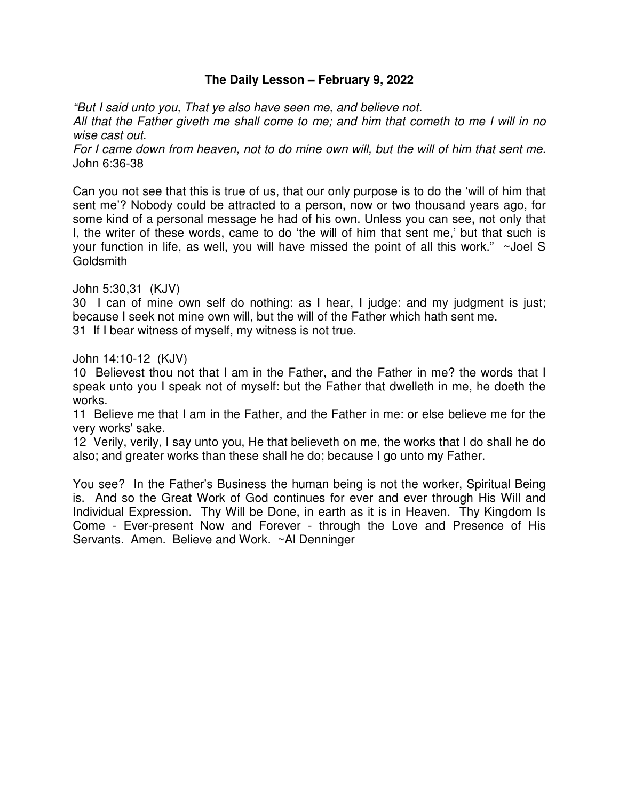# **The Daily Lesson – February 9, 2022**

*"But I said unto you, That ye also have seen me, and believe not.* 

*All that the Father giveth me shall come to me; and him that cometh to me I will in no wise cast out.* 

*For I came down from heaven, not to do mine own will, but the will of him that sent me.*  John 6:36-38

Can you not see that this is true of us, that our only purpose is to do the 'will of him that sent me'? Nobody could be attracted to a person, now or two thousand years ago, for some kind of a personal message he had of his own. Unless you can see, not only that I, the writer of these words, came to do 'the will of him that sent me,' but that such is your function in life, as well, you will have missed the point of all this work." ~Joel S **Goldsmith** 

John 5:30,31 (KJV)

30 I can of mine own self do nothing: as I hear, I judge: and my judgment is just; because I seek not mine own will, but the will of the Father which hath sent me. 31 If I bear witness of myself, my witness is not true.

John 14:10-12 (KJV)

10 Believest thou not that I am in the Father, and the Father in me? the words that I speak unto you I speak not of myself: but the Father that dwelleth in me, he doeth the works.

11 Believe me that I am in the Father, and the Father in me: or else believe me for the very works' sake.

12 Verily, verily, I say unto you, He that believeth on me, the works that I do shall he do also; and greater works than these shall he do; because I go unto my Father.

You see? In the Father's Business the human being is not the worker, Spiritual Being is. And so the Great Work of God continues for ever and ever through His Will and Individual Expression. Thy Will be Done, in earth as it is in Heaven. Thy Kingdom Is Come - Ever-present Now and Forever - through the Love and Presence of His Servants. Amen. Believe and Work. ~Al Denninger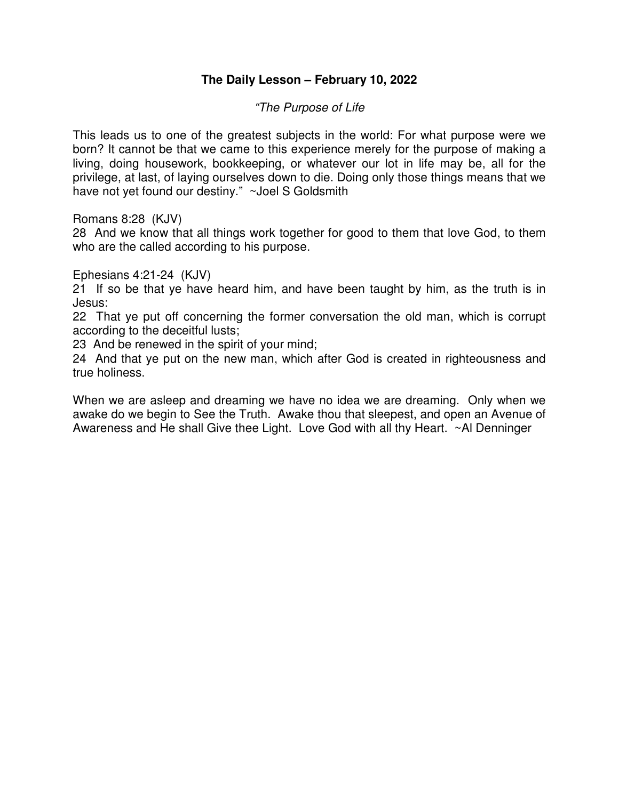# **The Daily Lesson – February 10, 2022**

*"The Purpose of Life* 

This leads us to one of the greatest subjects in the world: For what purpose were we born? It cannot be that we came to this experience merely for the purpose of making a living, doing housework, bookkeeping, or whatever our lot in life may be, all for the privilege, at last, of laying ourselves down to die. Doing only those things means that we have not yet found our destiny." ~Joel S Goldsmith

Romans 8:28 (KJV)

28 And we know that all things work together for good to them that love God, to them who are the called according to his purpose.

Ephesians 4:21-24 (KJV)

21 If so be that ye have heard him, and have been taught by him, as the truth is in Jesus:

22 That ye put off concerning the former conversation the old man, which is corrupt according to the deceitful lusts;

23 And be renewed in the spirit of your mind;

24 And that ye put on the new man, which after God is created in righteousness and true holiness.

When we are asleep and dreaming we have no idea we are dreaming. Only when we awake do we begin to See the Truth. Awake thou that sleepest, and open an Avenue of Awareness and He shall Give thee Light. Love God with all thy Heart. ~Al Denninger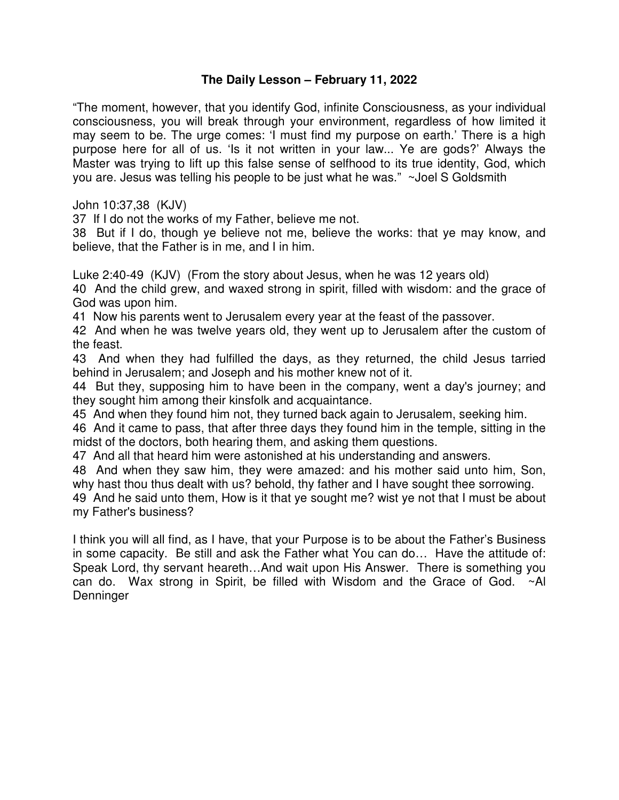# **The Daily Lesson – February 11, 2022**

"The moment, however, that you identify God, infinite Consciousness, as your individual consciousness, you will break through your environment, regardless of how limited it may seem to be. The urge comes: 'I must find my purpose on earth.' There is a high purpose here for all of us. 'Is it not written in your law... Ye are gods?' Always the Master was trying to lift up this false sense of selfhood to its true identity, God, which you are. Jesus was telling his people to be just what he was." ~Joel S Goldsmith

John 10:37,38 (KJV)

37 If I do not the works of my Father, believe me not.

38 But if I do, though ye believe not me, believe the works: that ye may know, and believe, that the Father is in me, and I in him.

Luke 2:40-49 (KJV) (From the story about Jesus, when he was 12 years old)

40 And the child grew, and waxed strong in spirit, filled with wisdom: and the grace of God was upon him.

41 Now his parents went to Jerusalem every year at the feast of the passover.

42 And when he was twelve years old, they went up to Jerusalem after the custom of the feast.

43 And when they had fulfilled the days, as they returned, the child Jesus tarried behind in Jerusalem; and Joseph and his mother knew not of it.

44 But they, supposing him to have been in the company, went a day's journey; and they sought him among their kinsfolk and acquaintance.

45 And when they found him not, they turned back again to Jerusalem, seeking him.

46 And it came to pass, that after three days they found him in the temple, sitting in the midst of the doctors, both hearing them, and asking them questions.

47 And all that heard him were astonished at his understanding and answers.

48 And when they saw him, they were amazed: and his mother said unto him, Son, why hast thou thus dealt with us? behold, thy father and I have sought thee sorrowing.

49 And he said unto them, How is it that ye sought me? wist ye not that I must be about my Father's business?

I think you will all find, as I have, that your Purpose is to be about the Father's Business in some capacity. Be still and ask the Father what You can do… Have the attitude of: Speak Lord, thy servant heareth…And wait upon His Answer. There is something you can do. Wax strong in Spirit, be filled with Wisdom and the Grace of God. ~Al **Denninger**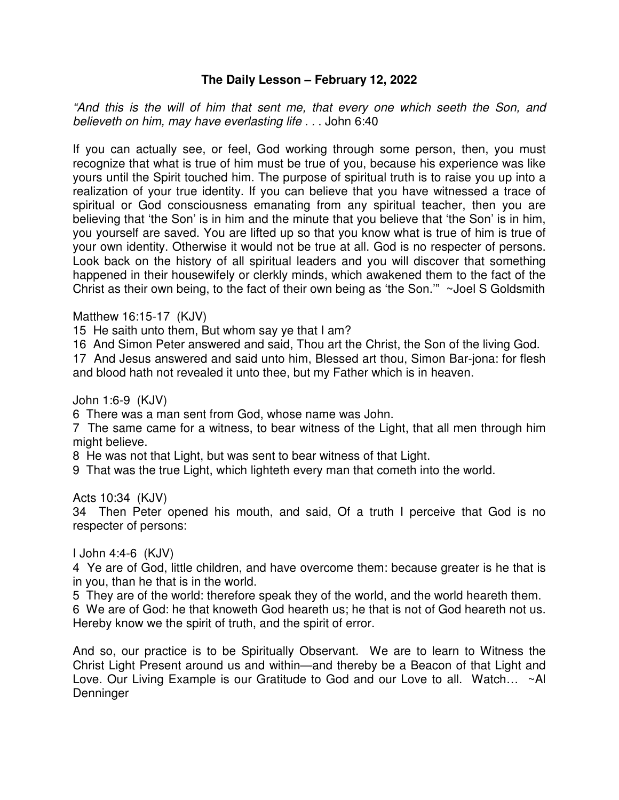# **The Daily Lesson – February 12, 2022**

*"And this is the will of him that sent me, that every one which seeth the Son, and believeth on him, may have everlasting life . .* . John 6:40

If you can actually see, or feel, God working through some person, then, you must recognize that what is true of him must be true of you, because his experience was like yours until the Spirit touched him. The purpose of spiritual truth is to raise you up into a realization of your true identity. If you can believe that you have witnessed a trace of spiritual or God consciousness emanating from any spiritual teacher, then you are believing that 'the Son' is in him and the minute that you believe that 'the Son' is in him, you yourself are saved. You are lifted up so that you know what is true of him is true of your own identity. Otherwise it would not be true at all. God is no respecter of persons. Look back on the history of all spiritual leaders and you will discover that something happened in their housewifely or clerkly minds, which awakened them to the fact of the Christ as their own being, to the fact of their own being as 'the Son.'" ~Joel S Goldsmith

Matthew 16:15-17 (KJV)

15 He saith unto them, But whom say ye that I am?

16 And Simon Peter answered and said, Thou art the Christ, the Son of the living God.

17 And Jesus answered and said unto him, Blessed art thou, Simon Bar-jona: for flesh and blood hath not revealed it unto thee, but my Father which is in heaven.

John 1:6-9 (KJV)

6 There was a man sent from God, whose name was John.

7 The same came for a witness, to bear witness of the Light, that all men through him might believe.

8 He was not that Light, but was sent to bear witness of that Light.

9 That was the true Light, which lighteth every man that cometh into the world.

## Acts 10:34 (KJV)

34 Then Peter opened his mouth, and said, Of a truth I perceive that God is no respecter of persons:

#### I John 4:4-6 (KJV)

4 Ye are of God, little children, and have overcome them: because greater is he that is in you, than he that is in the world.

5 They are of the world: therefore speak they of the world, and the world heareth them.

6 We are of God: he that knoweth God heareth us; he that is not of God heareth not us. Hereby know we the spirit of truth, and the spirit of error.

And so, our practice is to be Spiritually Observant. We are to learn to Witness the Christ Light Present around us and within—and thereby be a Beacon of that Light and Love. Our Living Example is our Gratitude to God and our Love to all. Watch... ~Al **Denninger**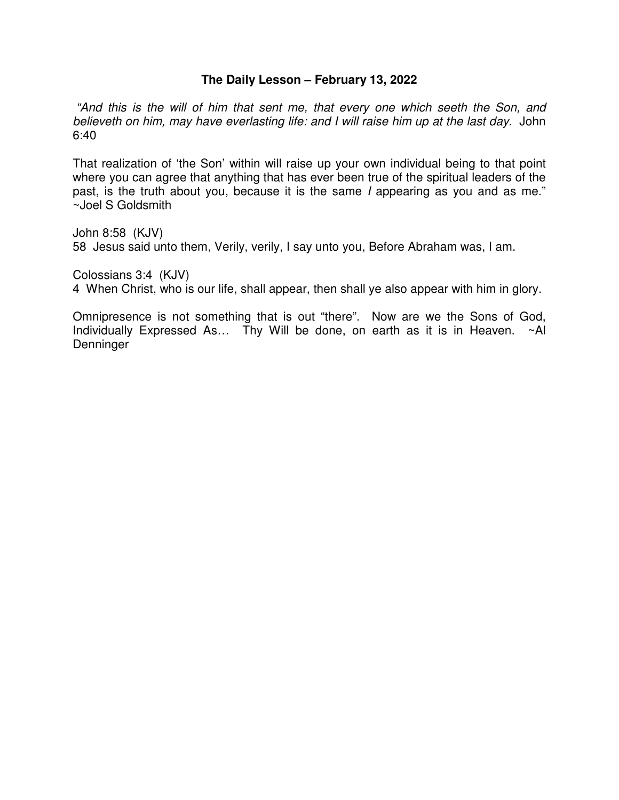#### **The Daily Lesson – February 13, 2022**

 *"And this is the will of him that sent me, that every one which seeth the Son, and believeth on him, may have everlasting life: and I will raise him up at the last day.* John 6:40

That realization of 'the Son' within will raise up your own individual being to that point where you can agree that anything that has ever been true of the spiritual leaders of the past, is the truth about you, because it is the same *I* appearing as you and as me." ~Joel S Goldsmith

John 8:58 (KJV) 58 Jesus said unto them, Verily, verily, I say unto you, Before Abraham was, I am.

Colossians 3:4 (KJV) 4 When Christ, who is our life, shall appear, then shall ye also appear with him in glory.

Omnipresence is not something that is out "there". Now are we the Sons of God, Individually Expressed As... Thy Will be done, on earth as it is in Heaven. ~Al **Denninger**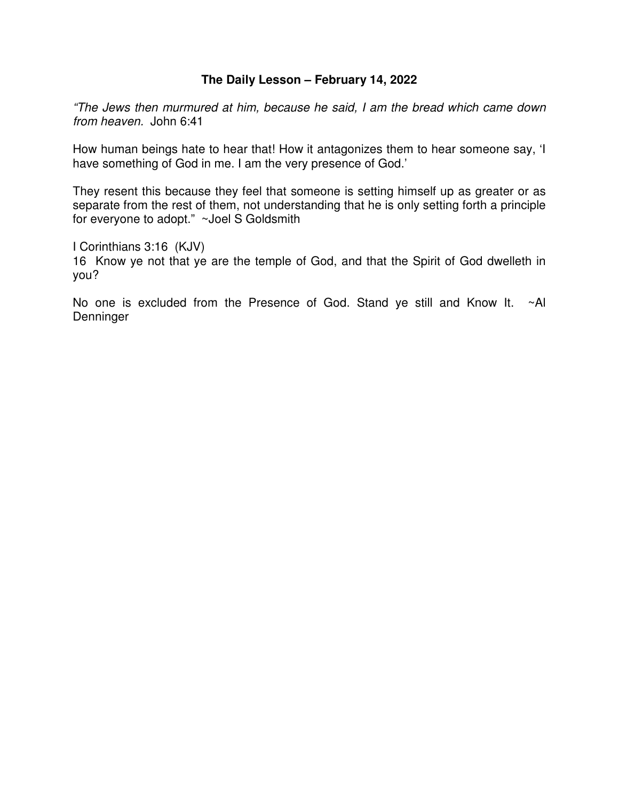## **The Daily Lesson – February 14, 2022**

*"The Jews then murmured at him, because he said, I am the bread which came down from heaven.* John 6:41

How human beings hate to hear that! How it antagonizes them to hear someone say, 'I have something of God in me. I am the very presence of God.'

They resent this because they feel that someone is setting himself up as greater or as separate from the rest of them, not understanding that he is only setting forth a principle for everyone to adopt." ~Joel S Goldsmith

I Corinthians 3:16 (KJV) 16 Know ye not that ye are the temple of God, and that the Spirit of God dwelleth in you?

No one is excluded from the Presence of God. Stand ye still and Know It. ~Al **Denninger**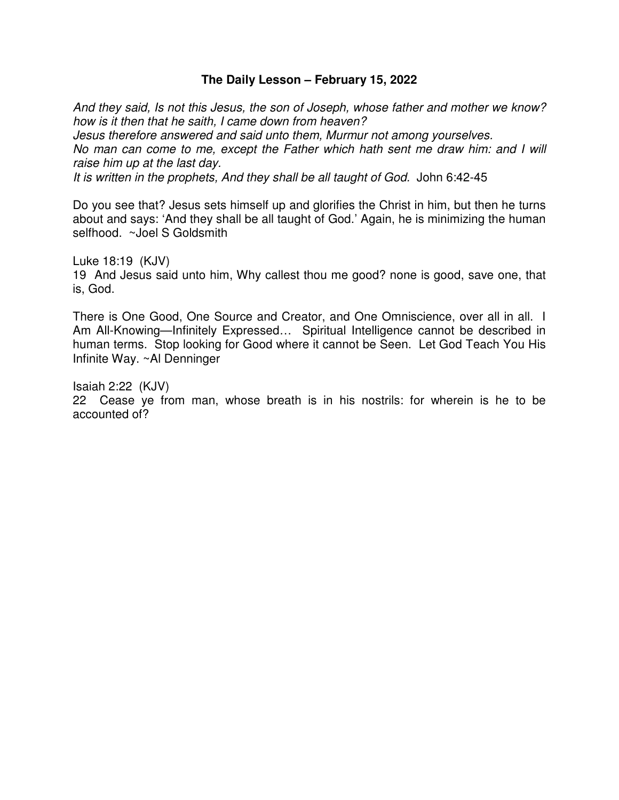#### **The Daily Lesson – February 15, 2022**

*And they said, Is not this Jesus, the son of Joseph, whose father and mother we know? how is it then that he saith, I came down from heaven?* 

*Jesus therefore answered and said unto them, Murmur not among yourselves. No man can come to me, except the Father which hath sent me draw him: and I will raise him up at the last day.* 

*It is written in the prophets, And they shall be all taught of God.* John 6:42-45

Do you see that? Jesus sets himself up and glorifies the Christ in him, but then he turns about and says: 'And they shall be all taught of God.' Again, he is minimizing the human selfhood. ~Joel S Goldsmith

Luke 18:19 (KJV)

19 And Jesus said unto him, Why callest thou me good? none is good, save one, that is, God.

There is One Good, One Source and Creator, and One Omniscience, over all in all. I Am All-Knowing—Infinitely Expressed… Spiritual Intelligence cannot be described in human terms. Stop looking for Good where it cannot be Seen. Let God Teach You His Infinite Way. ~Al Denninger

Isaiah 2:22 (KJV)

22 Cease ye from man, whose breath is in his nostrils: for wherein is he to be accounted of?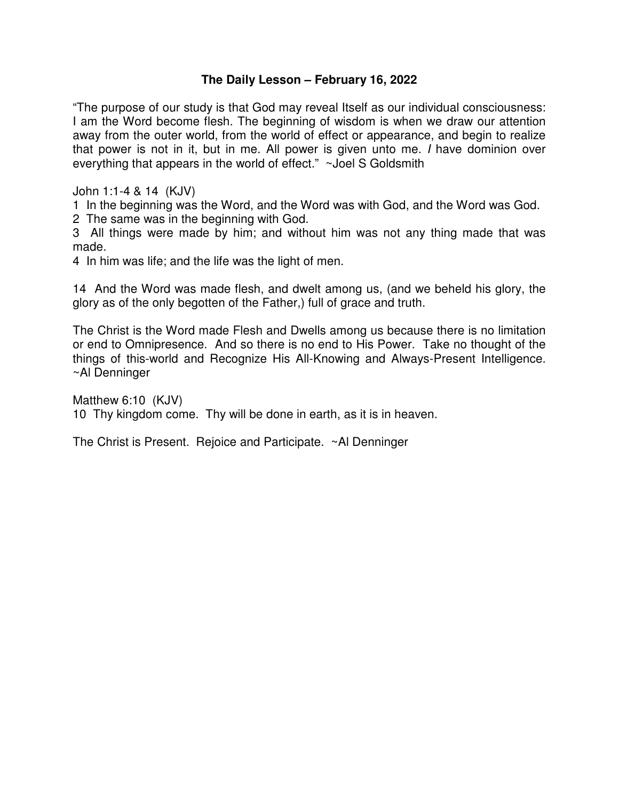# **The Daily Lesson – February 16, 2022**

"The purpose of our study is that God may reveal Itself as our individual consciousness: I am the Word become flesh. The beginning of wisdom is when we draw our attention away from the outer world, from the world of effect or appearance, and begin to realize that power is not in it, but in me. All power is given unto me. *I* have dominion over everything that appears in the world of effect." ~Joel S Goldsmith

John 1:1-4 & 14 (KJV)

1 In the beginning was the Word, and the Word was with God, and the Word was God.

2 The same was in the beginning with God.

3 All things were made by him; and without him was not any thing made that was made.

4 In him was life; and the life was the light of men.

14 And the Word was made flesh, and dwelt among us, (and we beheld his glory, the glory as of the only begotten of the Father,) full of grace and truth.

The Christ is the Word made Flesh and Dwells among us because there is no limitation or end to Omnipresence. And so there is no end to His Power. Take no thought of the things of this-world and Recognize His All-Knowing and Always-Present Intelligence. ~Al Denninger

Matthew 6:10 (KJV)

10 Thy kingdom come. Thy will be done in earth, as it is in heaven.

The Christ is Present. Rejoice and Participate. ~Al Denninger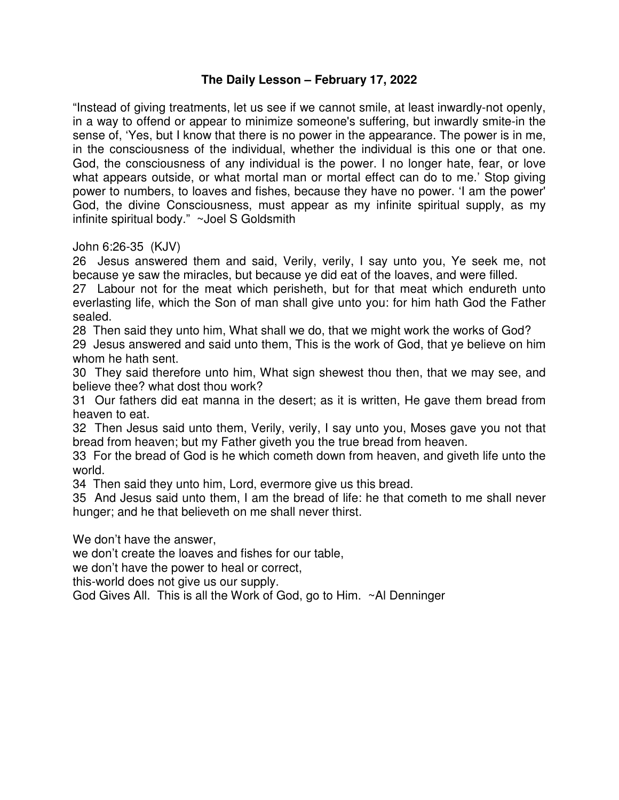# **The Daily Lesson – February 17, 2022**

"Instead of giving treatments, let us see if we cannot smile, at least inwardly-not openly, in a way to offend or appear to minimize someone's suffering, but inwardly smite-in the sense of, 'Yes, but I know that there is no power in the appearance. The power is in me, in the consciousness of the individual, whether the individual is this one or that one. God, the consciousness of any individual is the power. I no longer hate, fear, or love what appears outside, or what mortal man or mortal effect can do to me.' Stop giving power to numbers, to loaves and fishes, because they have no power. 'I am the power' God, the divine Consciousness, must appear as my infinite spiritual supply, as my infinite spiritual body." ~Joel S Goldsmith

John 6:26-35 (KJV)

26 Jesus answered them and said, Verily, verily, I say unto you, Ye seek me, not because ye saw the miracles, but because ye did eat of the loaves, and were filled.

27 Labour not for the meat which perisheth, but for that meat which endureth unto everlasting life, which the Son of man shall give unto you: for him hath God the Father sealed.

28 Then said they unto him, What shall we do, that we might work the works of God?

29 Jesus answered and said unto them, This is the work of God, that ye believe on him whom he hath sent.

30 They said therefore unto him, What sign shewest thou then, that we may see, and believe thee? what dost thou work?

31 Our fathers did eat manna in the desert; as it is written, He gave them bread from heaven to eat.

32 Then Jesus said unto them, Verily, verily, I say unto you, Moses gave you not that bread from heaven; but my Father giveth you the true bread from heaven.

33 For the bread of God is he which cometh down from heaven, and giveth life unto the world.

34 Then said they unto him, Lord, evermore give us this bread.

35 And Jesus said unto them, I am the bread of life: he that cometh to me shall never hunger; and he that believeth on me shall never thirst.

We don't have the answer.

we don't create the loaves and fishes for our table,

we don't have the power to heal or correct,

this-world does not give us our supply.

God Gives All. This is all the Work of God, go to Him. ~Al Denninger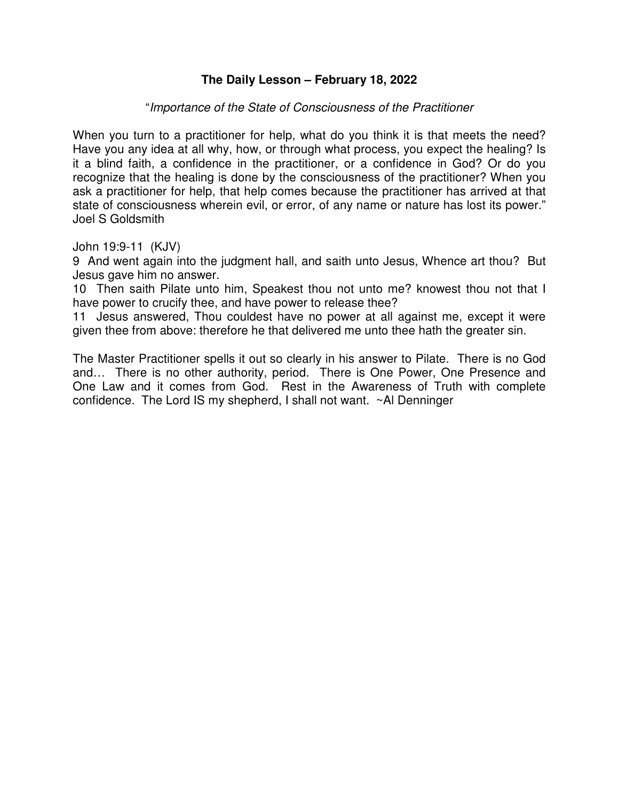# **The Daily Lesson – February 18, 2022**

## "*Importance of the State of Consciousness of the Practitioner*

When you turn to a practitioner for help, what do you think it is that meets the need? Have you any idea at all why, how, or through what process, you expect the healing? Is it a blind faith, a confidence in the practitioner, or a confidence in God? Or do you recognize that the healing is done by the consciousness of the practitioner? When you ask a practitioner for help, that help comes because the practitioner has arrived at that state of consciousness wherein evil, or error, of any name or nature has lost its power." Joel S Goldsmith

John 19:9-11 (KJV)

9 And went again into the judgment hall, and saith unto Jesus, Whence art thou? But Jesus gave him no answer.

10 Then saith Pilate unto him, Speakest thou not unto me? knowest thou not that I have power to crucify thee, and have power to release thee?

11 Jesus answered, Thou couldest have no power at all against me, except it were given thee from above: therefore he that delivered me unto thee hath the greater sin.

The Master Practitioner spells it out so clearly in his answer to Pilate. There is no God and… There is no other authority, period. There is One Power, One Presence and One Law and it comes from God. Rest in the Awareness of Truth with complete confidence. The Lord IS my shepherd, I shall not want. ~Al Denninger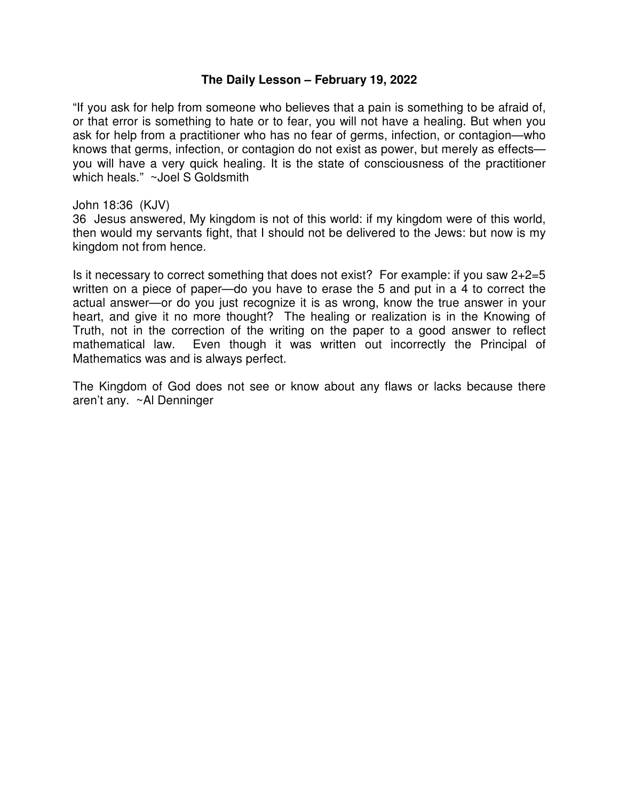## **The Daily Lesson – February 19, 2022**

"If you ask for help from someone who believes that a pain is something to be afraid of, or that error is something to hate or to fear, you will not have a healing. But when you ask for help from a practitioner who has no fear of germs, infection, or contagion—who knows that germs, infection, or contagion do not exist as power, but merely as effects you will have a very quick healing. It is the state of consciousness of the practitioner which heals." ~Joel S Goldsmith

#### John 18:36 (KJV)

36 Jesus answered, My kingdom is not of this world: if my kingdom were of this world, then would my servants fight, that I should not be delivered to the Jews: but now is my kingdom not from hence.

Is it necessary to correct something that does not exist? For example: if you saw  $2+2=5$ written on a piece of paper—do you have to erase the 5 and put in a 4 to correct the actual answer—or do you just recognize it is as wrong, know the true answer in your heart, and give it no more thought? The healing or realization is in the Knowing of Truth, not in the correction of the writing on the paper to a good answer to reflect mathematical law. Even though it was written out incorrectly the Principal of Mathematics was and is always perfect.

The Kingdom of God does not see or know about any flaws or lacks because there aren't any. ~Al Denninger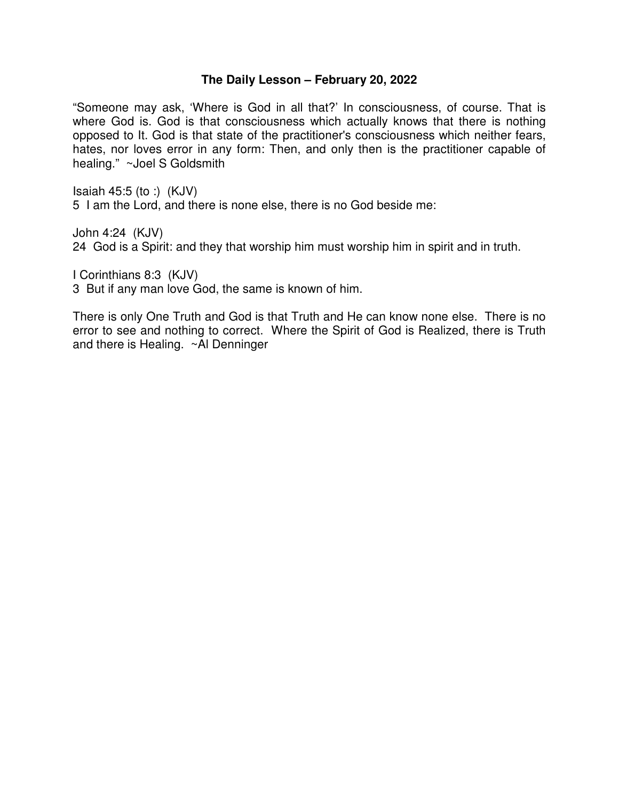#### **The Daily Lesson – February 20, 2022**

"Someone may ask, 'Where is God in all that?' In consciousness, of course. That is where God is. God is that consciousness which actually knows that there is nothing opposed to It. God is that state of the practitioner's consciousness which neither fears, hates, nor loves error in any form: Then, and only then is the practitioner capable of healing." ~Joel S Goldsmith

Isaiah 45:5 (to :) (KJV) 5 I am the Lord, and there is none else, there is no God beside me:

John 4:24 (KJV) 24 God is a Spirit: and they that worship him must worship him in spirit and in truth.

I Corinthians 8:3 (KJV) 3 But if any man love God, the same is known of him.

There is only One Truth and God is that Truth and He can know none else. There is no error to see and nothing to correct. Where the Spirit of God is Realized, there is Truth and there is Healing. ~Al Denninger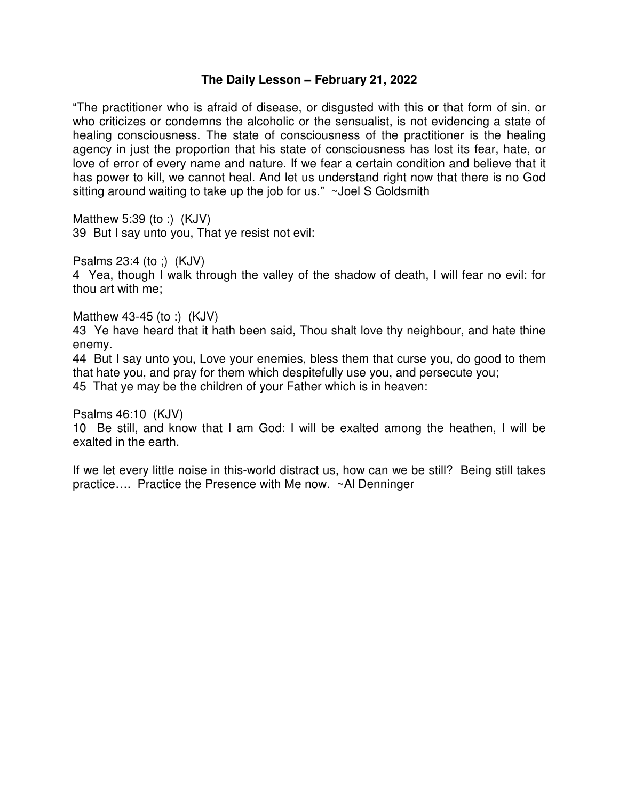## **The Daily Lesson – February 21, 2022**

"The practitioner who is afraid of disease, or disgusted with this or that form of sin, or who criticizes or condemns the alcoholic or the sensualist, is not evidencing a state of healing consciousness. The state of consciousness of the practitioner is the healing agency in just the proportion that his state of consciousness has lost its fear, hate, or love of error of every name and nature. If we fear a certain condition and believe that it has power to kill, we cannot heal. And let us understand right now that there is no God sitting around waiting to take up the job for us." ~Joel S Goldsmith

Matthew 5:39 (to :) (KJV) 39 But I say unto you, That ye resist not evil:

Psalms 23:4 (to ;) (KJV)

4 Yea, though I walk through the valley of the shadow of death, I will fear no evil: for thou art with me;

Matthew 43-45 (to :) (KJV)

43 Ye have heard that it hath been said, Thou shalt love thy neighbour, and hate thine enemy.

44 But I say unto you, Love your enemies, bless them that curse you, do good to them that hate you, and pray for them which despitefully use you, and persecute you; 45 That ye may be the children of your Father which is in heaven:

Psalms 46:10 (KJV)

10 Be still, and know that I am God: I will be exalted among the heathen, I will be exalted in the earth.

If we let every little noise in this-world distract us, how can we be still? Being still takes practice…. Practice the Presence with Me now. ~Al Denninger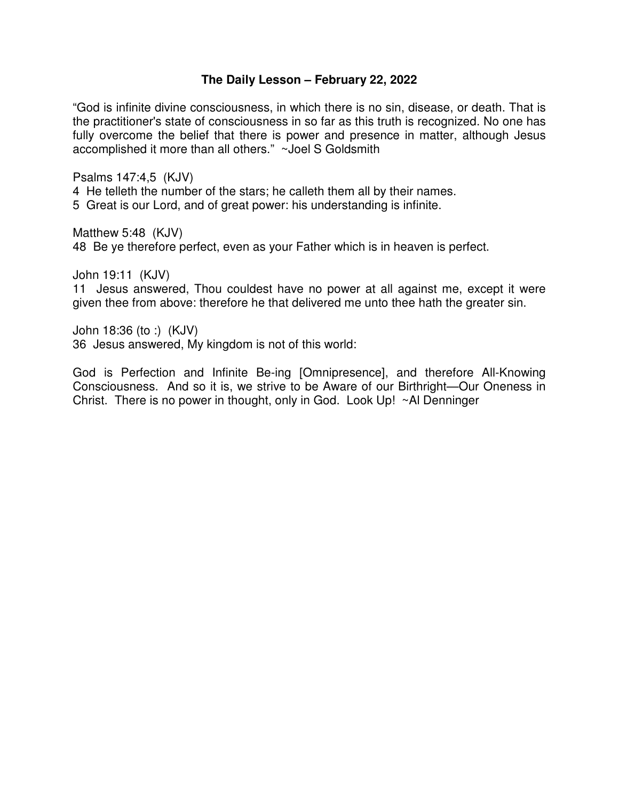## **The Daily Lesson – February 22, 2022**

"God is infinite divine consciousness, in which there is no sin, disease, or death. That is the practitioner's state of consciousness in so far as this truth is recognized. No one has fully overcome the belief that there is power and presence in matter, although Jesus accomplished it more than all others." ~Joel S Goldsmith

Psalms 147:4,5 (KJV)

4 He telleth the number of the stars; he calleth them all by their names.

5 Great is our Lord, and of great power: his understanding is infinite.

Matthew 5:48 (KJV) 48 Be ye therefore perfect, even as your Father which is in heaven is perfect.

John 19:11 (KJV)

11 Jesus answered, Thou couldest have no power at all against me, except it were given thee from above: therefore he that delivered me unto thee hath the greater sin.

John 18:36 (to :) (KJV) 36 Jesus answered, My kingdom is not of this world:

God is Perfection and Infinite Be-ing [Omnipresence], and therefore All-Knowing Consciousness. And so it is, we strive to be Aware of our Birthright—Our Oneness in Christ. There is no power in thought, only in God. Look Up! ~Al Denninger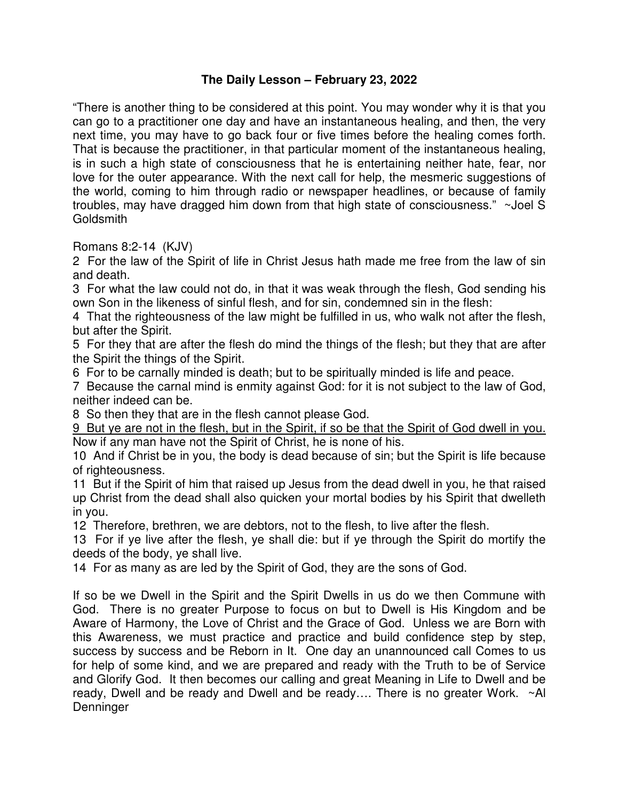# **The Daily Lesson – February 23, 2022**

"There is another thing to be considered at this point. You may wonder why it is that you can go to a practitioner one day and have an instantaneous healing, and then, the very next time, you may have to go back four or five times before the healing comes forth. That is because the practitioner, in that particular moment of the instantaneous healing, is in such a high state of consciousness that he is entertaining neither hate, fear, nor love for the outer appearance. With the next call for help, the mesmeric suggestions of the world, coming to him through radio or newspaper headlines, or because of family troubles, may have dragged him down from that high state of consciousness." ~Joel S Goldsmith

Romans 8:2-14 (KJV)

2 For the law of the Spirit of life in Christ Jesus hath made me free from the law of sin and death.

3 For what the law could not do, in that it was weak through the flesh, God sending his own Son in the likeness of sinful flesh, and for sin, condemned sin in the flesh:

4 That the righteousness of the law might be fulfilled in us, who walk not after the flesh, but after the Spirit.

5 For they that are after the flesh do mind the things of the flesh; but they that are after the Spirit the things of the Spirit.

6 For to be carnally minded is death; but to be spiritually minded is life and peace.

7 Because the carnal mind is enmity against God: for it is not subject to the law of God, neither indeed can be.

8 So then they that are in the flesh cannot please God.

9 But ye are not in the flesh, but in the Spirit, if so be that the Spirit of God dwell in you. Now if any man have not the Spirit of Christ, he is none of his.

10 And if Christ be in you, the body is dead because of sin; but the Spirit is life because of righteousness.

11 But if the Spirit of him that raised up Jesus from the dead dwell in you, he that raised up Christ from the dead shall also quicken your mortal bodies by his Spirit that dwelleth in you.

12 Therefore, brethren, we are debtors, not to the flesh, to live after the flesh.

13 For if ye live after the flesh, ye shall die: but if ye through the Spirit do mortify the deeds of the body, ye shall live.

14 For as many as are led by the Spirit of God, they are the sons of God.

If so be we Dwell in the Spirit and the Spirit Dwells in us do we then Commune with God. There is no greater Purpose to focus on but to Dwell is His Kingdom and be Aware of Harmony, the Love of Christ and the Grace of God. Unless we are Born with this Awareness, we must practice and practice and build confidence step by step, success by success and be Reborn in It. One day an unannounced call Comes to us for help of some kind, and we are prepared and ready with the Truth to be of Service and Glorify God. It then becomes our calling and great Meaning in Life to Dwell and be ready, Dwell and be ready and Dwell and be ready…. There is no greater Work. ~Al **Denninger**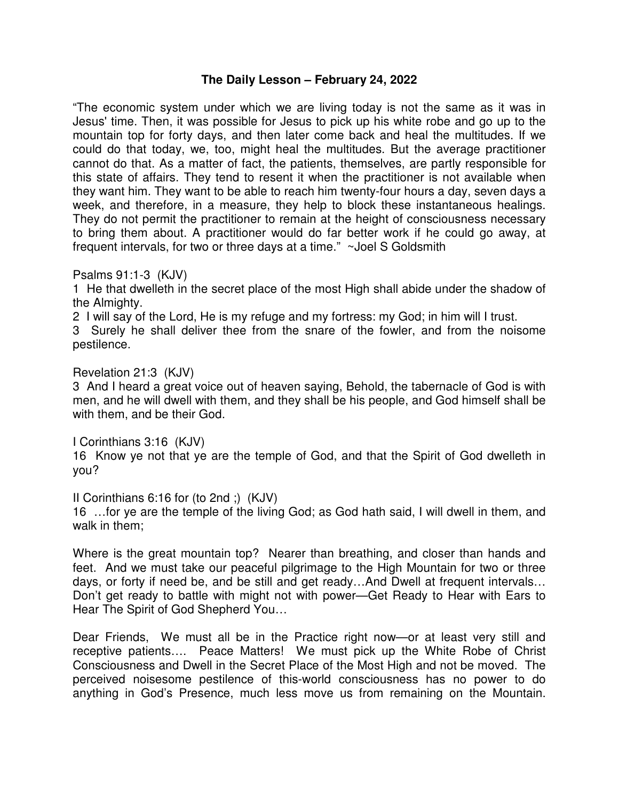## **The Daily Lesson – February 24, 2022**

"The economic system under which we are living today is not the same as it was in Jesus' time. Then, it was possible for Jesus to pick up his white robe and go up to the mountain top for forty days, and then later come back and heal the multitudes. If we could do that today, we, too, might heal the multitudes. But the average practitioner cannot do that. As a matter of fact, the patients, themselves, are partly responsible for this state of affairs. They tend to resent it when the practitioner is not available when they want him. They want to be able to reach him twenty-four hours a day, seven days a week, and therefore, in a measure, they help to block these instantaneous healings. They do not permit the practitioner to remain at the height of consciousness necessary to bring them about. A practitioner would do far better work if he could go away, at frequent intervals, for two or three days at a time." ~Joel S Goldsmith

Psalms 91:1-3 (KJV)

1 He that dwelleth in the secret place of the most High shall abide under the shadow of the Almighty.

2 I will say of the Lord, He is my refuge and my fortress: my God; in him will I trust.

3 Surely he shall deliver thee from the snare of the fowler, and from the noisome pestilence.

Revelation 21:3 (KJV)

3 And I heard a great voice out of heaven saying, Behold, the tabernacle of God is with men, and he will dwell with them, and they shall be his people, and God himself shall be with them, and be their God.

I Corinthians 3:16 (KJV)

16 Know ye not that ye are the temple of God, and that the Spirit of God dwelleth in you?

II Corinthians 6:16 for (to 2nd ;) (KJV) 16 …for ye are the temple of the living God; as God hath said, I will dwell in them, and walk in them;

Where is the great mountain top? Nearer than breathing, and closer than hands and feet. And we must take our peaceful pilgrimage to the High Mountain for two or three days, or forty if need be, and be still and get ready…And Dwell at frequent intervals… Don't get ready to battle with might not with power—Get Ready to Hear with Ears to Hear The Spirit of God Shepherd You…

Dear Friends, We must all be in the Practice right now—or at least very still and receptive patients…. Peace Matters! We must pick up the White Robe of Christ Consciousness and Dwell in the Secret Place of the Most High and not be moved. The perceived noisesome pestilence of this-world consciousness has no power to do anything in God's Presence, much less move us from remaining on the Mountain.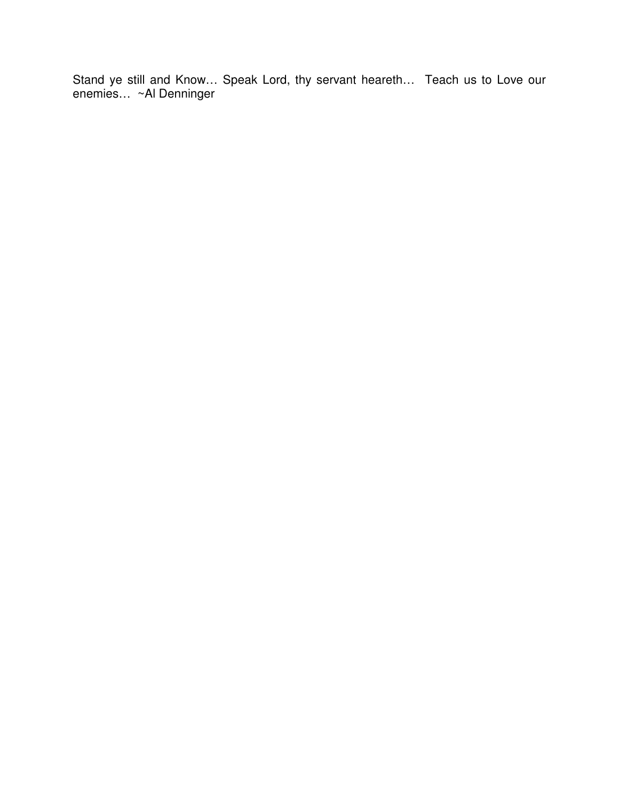Stand ye still and Know… Speak Lord, thy servant heareth… Teach us to Love our enemies… ~Al Denninger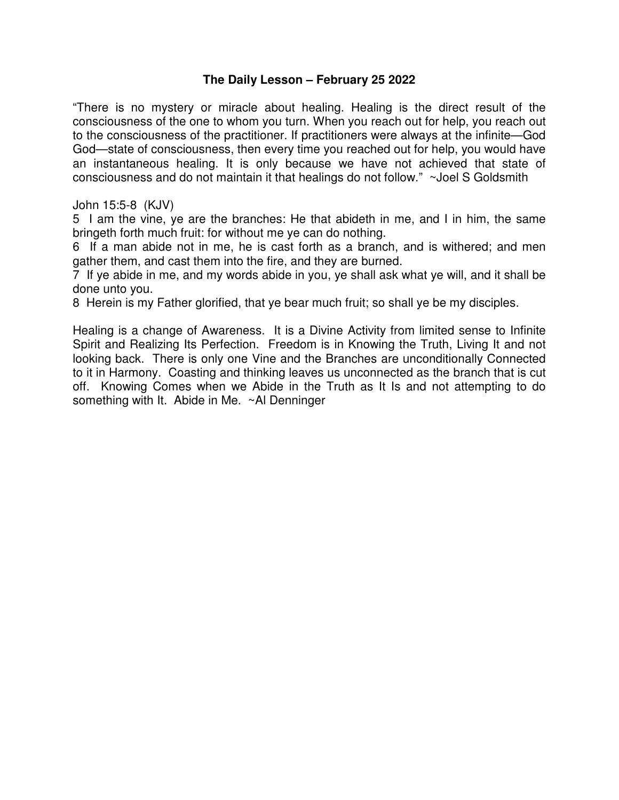# **The Daily Lesson – February 25 2022**

"There is no mystery or miracle about healing. Healing is the direct result of the consciousness of the one to whom you turn. When you reach out for help, you reach out to the consciousness of the practitioner. If practitioners were always at the infinite—God God—state of consciousness, then every time you reached out for help, you would have an instantaneous healing. It is only because we have not achieved that state of consciousness and do not maintain it that healings do not follow." ~Joel S Goldsmith

John 15:5-8 (KJV)

5 I am the vine, ye are the branches: He that abideth in me, and I in him, the same bringeth forth much fruit: for without me ye can do nothing.

6 If a man abide not in me, he is cast forth as a branch, and is withered; and men gather them, and cast them into the fire, and they are burned.

7 If ye abide in me, and my words abide in you, ye shall ask what ye will, and it shall be done unto you.

8 Herein is my Father glorified, that ye bear much fruit; so shall ye be my disciples.

Healing is a change of Awareness. It is a Divine Activity from limited sense to Infinite Spirit and Realizing Its Perfection. Freedom is in Knowing the Truth, Living It and not looking back. There is only one Vine and the Branches are unconditionally Connected to it in Harmony. Coasting and thinking leaves us unconnected as the branch that is cut off. Knowing Comes when we Abide in the Truth as It Is and not attempting to do something with It. Abide in Me. ~Al Denninger